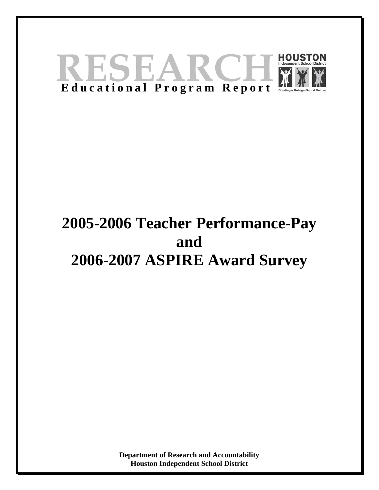

# **2005-2006 Teacher Performance-Pay and 2006-2007 ASPIRE Award Survey**

**Department of Research and Accountability Houston Independent School District**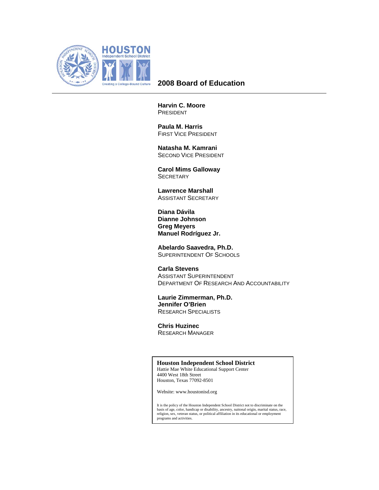

## **2008 Board of Education**

**Harvin C. Moore**  PRESIDENT

 **Paula M. Harris**  FIRST VICE PRESIDENT

 **Natasha M. Kamrani**  SECOND VICE PRESIDENT

 **Carol Mims Galloway SECRETARY** 

 **Lawrence Marshall**  ASSISTANT SECRETARY

**Diana Dávila Dianne Johnson Greg Meyers Manuel Rodríguez Jr.** 

 **Abelardo Saavedra, Ph.D.**  SUPERINTENDENT OF SCHOOLS

 **Carla Stevens**  ASSISTANT SUPERINTENDENT DEPARTMENT OF RESEARCH AND ACCOUNTABILITY

 **Laurie Zimmerman, Ph.D. Jennifer O'Brien**  RESEARCH SPECIALISTS

 **Chris Huzinec**  RESEARCH MANAGER

#### **Houston Independent School District**

Hattie Mae White Educational Support Center 4400 West 18th Street Houston, Texas 77092-8501

Website: www.houstonisd.org

It is the policy of the Houston Independent School District not to discriminate on the basis of age, color, handicap or disability, ancestry, naitonal origin, marital status, race, religion, sex, veteran status, or political affiliation in its educational or employment programs and activities.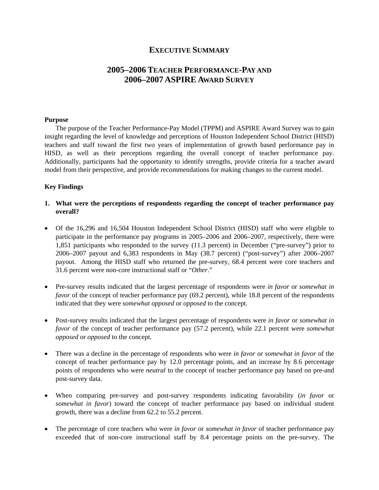## **EXECUTIVE SUMMARY**

# **2005–2006 TEACHER PERFORMANCE-PAY AND 2006–2007 ASPIRE AWARD SURVEY**

#### **Purpose**

The purpose of the Teacher Performance-Pay Model (TPPM) and ASPIRE Award Survey was to gain insight regarding the level of knowledge and perceptions of Houston Independent School District (HISD) teachers and staff toward the first two years of implementation of growth based performance pay in HISD, as well as their perceptions regarding the overall concept of teacher performance pay. Additionally, participants had the opportunity to identify strengths, provide criteria for a teacher award model from their perspective, and provide recommendations for making changes to the current model.

#### **Key Findings**

- **1. What were the perceptions of respondents regarding the concept of teacher performance pay overall?**
- Of the 16,296 and 16,504 Houston Independent School District (HISD) staff who were eligible to participate in the performance pay programs in 2005–2006 and 2006–2007, respectively, there were 1,851 participants who responded to the survey (11.3 percent) in December ("pre-survey") prior to 2006–2007 payout and 6,383 respondents in May (38.7 percent) ("post-survey") after 2006–2007 payout. Among the HISD staff who returned the pre-survey, 68.4 percent were core teachers and 31.6 percent were non-core instructional staff or "*Other*."
- Pre-survey results indicated that the largest percentage of respondents were *in favor* or *somewhat in favor* of the concept of teacher performance pay (69.2 percent), while 18.8 percent of the respondents indicated that they were *somewhat opposed* or *opposed* to the concept.
- Post-survey results indicated that the largest percentage of respondents were *in favor* or *somewhat in favor* of the concept of teacher performance pay (57.2 percent), while 22.1 percent were *somewhat opposed* or *opposed* to the concept.
- There was a decline in the percentage of respondents who were *in favor* or *somewhat in favor* of the concept of teacher performance pay by 12.0 percentage points, and an increase by 8.6 percentage points of respondents who were *neutral* to the concept of teacher performance pay based on pre-and post-survey data.
- When comparing pre-survey and post-survey respondents indicating favorability (*in favor* or *somewhat in favor*) toward the concept of teacher performance pay based on individual student growth, there was a decline from 62.2 to 55.2 percent.
- The percentage of core teachers who were *in favor* or *somewhat in favor* of teacher performance pay exceeded that of non-core instructional staff by 8.4 percentage points on the pre-survey. The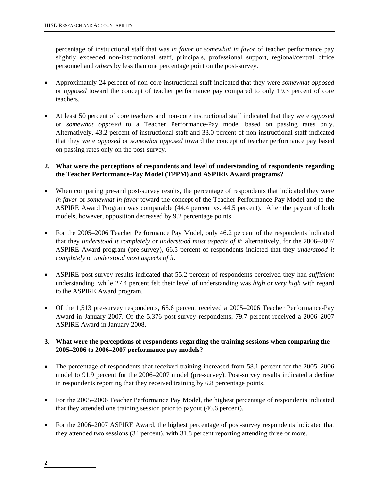percentage of instructional staff that was *in favor* or *somewhat in favor* of teacher performance pay slightly exceeded non-instructional staff, principals, professional support, regional/central office personnel and *others* by less than one percentage point on the post-survey.

- Approximately 24 percent of non-core instructional staff indicated that they were *somewhat opposed* or *opposed* toward the concept of teacher performance pay compared to only 19.3 percent of core teachers.
- At least 50 percent of core teachers and non-core instructional staff indicated that they were *opposed*  or *somewhat opposed* to a Teacher Performance-Pay model based on passing rates only. Alternatively, 43.2 percent of instructional staff and 33.0 percent of non-instructional staff indicated that they were *opposed* or *somewhat opposed* toward the concept of teacher performance pay based on passing rates only on the post-survey.

## **2. What were the perceptions of respondents and level of understanding of respondents regarding the Teacher Performance-Pay Model (TPPM) and ASPIRE Award programs?**

- When comparing pre-and post-survey results, the percentage of respondents that indicated they were *in favor* or *somewhat in favor* toward the concept of the Teacher Performance-Pay Model and to the ASPIRE Award Program was comparable (44.4 percent vs. 44.5 percent). After the payout of both models, however, opposition decreased by 9.2 percentage points.
- For the 2005–2006 Teacher Performance Pay Model, only 46.2 percent of the respondents indicated that they *understood it completely* or *understood most aspects of it*; alternatively, for the 2006–2007 ASPIRE Award program (pre-survey), 66.5 percent of respondents indicted that they *understood it completely* or *understood most aspects of it*.
- ASPIRE post-survey results indicated that 55.2 percent of respondents perceived they had *sufficient* understanding, while 27.4 percent felt their level of understanding was *high* or *very high* with regard to the ASPIRE Award program.
- Of the 1,513 pre-survey respondents, 65.6 percent received a 2005–2006 Teacher Performance-Pay Award in January 2007. Of the 5,376 post-survey respondents, 79.7 percent received a 2006–2007 ASPIRE Award in January 2008.

## **3. What were the perceptions of respondents regarding the training sessions when comparing the 2005–2006 to 2006–2007 performance pay models?**

- The percentage of respondents that received training increased from 58.1 percent for the 2005–2006 model to 91.9 percent for the 2006–2007 model (pre-survey). Post-survey results indicated a decline in respondents reporting that they received training by 6.8 percentage points.
- For the 2005–2006 Teacher Performance Pay Model, the highest percentage of respondents indicated that they attended one training session prior to payout (46.6 percent).
- For the 2006–2007 ASPIRE Award, the highest percentage of post-survey respondents indicated that they attended two sessions (34 percent), with 31.8 percent reporting attending three or more.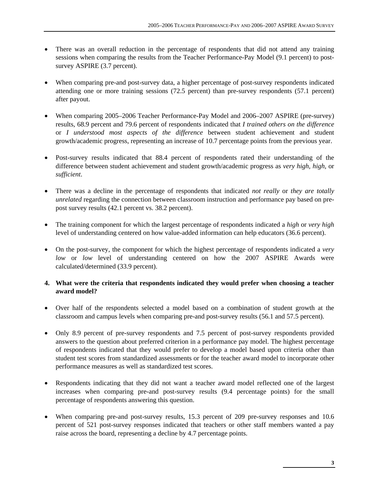- There was an overall reduction in the percentage of respondents that did not attend any training sessions when comparing the results from the Teacher Performance-Pay Model (9.1 percent) to postsurvey ASPIRE (3.7 percent).
- When comparing pre-and post-survey data, a higher percentage of post-survey respondents indicated attending one or more training sessions (72.5 percent) than pre-survey respondents (57.1 percent) after payout.
- When comparing 2005–2006 Teacher Performance-Pay Model and 2006–2007 ASPIRE (pre-survey) results, 68.9 percent and 79.6 percent of respondents indicated that *I trained others on the difference* or *I understood most aspects of the difference* between student achievement and student growth/academic progress, representing an increase of 10.7 percentage points from the previous year.
- Post-survey results indicated that 88.4 percent of respondents rated their understanding of the difference between student achievement and student growth/academic progress as *very high, high*, or *sufficient*.
- There was a decline in the percentage of respondents that indicated *not really* or *they are totally unrelated* regarding the connection between classroom instruction and performance pay based on prepost survey results (42.1 percent vs. 38.2 percent).
- The training component for which the largest percentage of respondents indicated a *high* or *very high* level of understanding centered on how value-added information can help educators (36.6 percent).
- On the post-survey, the component for which the highest percentage of respondents indicated a *very low* or *low* level of understanding centered on how the 2007 ASPIRE Awards were calculated/determined (33.9 percent).

## **4. What were the criteria that respondents indicated they would prefer when choosing a teacher award model?**

- Over half of the respondents selected a model based on a combination of student growth at the classroom and campus levels when comparing pre-and post-survey results (56.1 and 57.5 percent).
- Only 8.9 percent of pre-survey respondents and 7.5 percent of post-survey respondents provided answers to the question about preferred criterion in a performance pay model. The highest percentage of respondents indicated that they would prefer to develop a model based upon criteria other than student test scores from standardized assessments or for the teacher award model to incorporate other performance measures as well as standardized test scores.
- Respondents indicating that they did not want a teacher award model reflected one of the largest increases when comparing pre-and post-survey results (9.4 percentage points) for the small percentage of respondents answering this question.
- When comparing pre-and post-survey results, 15.3 percent of 209 pre-survey responses and 10.6 percent of 521 post-survey responses indicated that teachers or other staff members wanted a pay raise across the board, representing a decline by 4.7 percentage points.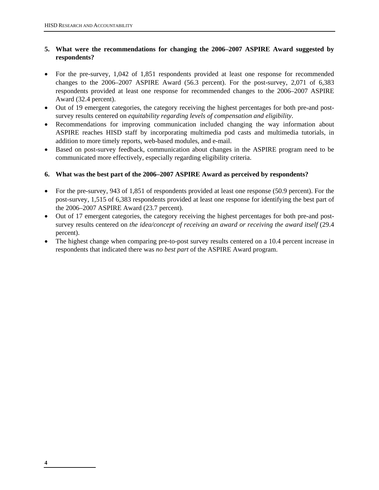## **5. What were the recommendations for changing the 2006–2007 ASPIRE Award suggested by respondents?**

- For the pre-survey, 1,042 of 1,851 respondents provided at least one response for recommended changes to the 2006–2007 ASPIRE Award (56.3 percent). For the post-survey, 2,071 of 6,383 respondents provided at least one response for recommended changes to the 2006–2007 ASPIRE Award (32.4 percent).
- Out of 19 emergent categories, the category receiving the highest percentages for both pre-and postsurvey results centered on *equitability regarding levels of compensation and eligibility*.
- Recommendations for improving communication included changing the way information about ASPIRE reaches HISD staff by incorporating multimedia pod casts and multimedia tutorials, in addition to more timely reports, web-based modules, and e-mail.
- Based on post-survey feedback, communication about changes in the ASPIRE program need to be communicated more effectively, especially regarding eligibility criteria.

## **6. What was the best part of the 2006–2007 ASPIRE Award as perceived by respondents?**

- For the pre-survey, 943 of 1,851 of respondents provided at least one response (50.9 percent). For the post-survey, 1,515 of 6,383 respondents provided at least one response for identifying the best part of the 2006–2007 ASPIRE Award (23.7 percent).
- Out of 17 emergent categories, the category receiving the highest percentages for both pre-and postsurvey results centered on *the idea/concept of receiving an award or receiving the award itself* (29.4 percent).
- The highest change when comparing pre-to-post survey results centered on a 10.4 percent increase in respondents that indicated there was *no best part* of the ASPIRE Award program.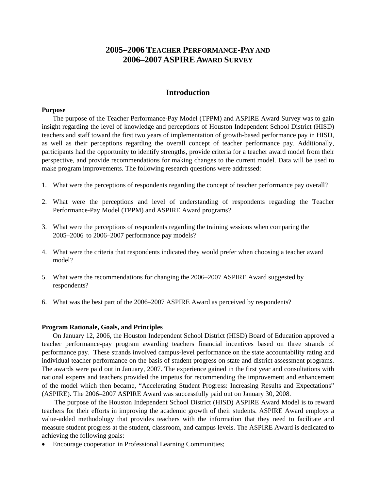# **2005–2006 TEACHER PERFORMANCE-PAY AND 2006–2007 ASPIRE AWARD SURVEY**

## **Introduction**

#### **Purpose**

The purpose of the Teacher Performance-Pay Model (TPPM) and ASPIRE Award Survey was to gain insight regarding the level of knowledge and perceptions of Houston Independent School District (HISD) teachers and staff toward the first two years of implementation of growth-based performance pay in HISD, as well as their perceptions regarding the overall concept of teacher performance pay. Additionally, participants had the opportunity to identify strengths, provide criteria for a teacher award model from their perspective, and provide recommendations for making changes to the current model. Data will be used to make program improvements. The following research questions were addressed:

- 1. What were the perceptions of respondents regarding the concept of teacher performance pay overall?
- 2. What were the perceptions and level of understanding of respondents regarding the Teacher Performance-Pay Model (TPPM) and ASPIRE Award programs?
- 3. What were the perceptions of respondents regarding the training sessions when comparing the 2005–2006 to 2006–2007 performance pay models?
- 4. What were the criteria that respondents indicated they would prefer when choosing a teacher award model?
- 5. What were the recommendations for changing the 2006–2007 ASPIRE Award suggested by respondents?
- 6. What was the best part of the 2006–2007 ASPIRE Award as perceived by respondents?

#### **Program Rationale, Goals, and Principles**

On January 12, 2006, the Houston Independent School District (HISD) Board of Education approved a teacher performance-pay program awarding teachers financial incentives based on three strands of performance pay. These strands involved campus-level performance on the state accountability rating and individual teacher performance on the basis of student progress on state and district assessment programs. The awards were paid out in January, 2007. The experience gained in the first year and consultations with national experts and teachers provided the impetus for recommending the improvement and enhancement of the model which then became, "Accelerating Student Progress: Increasing Results and Expectations" (ASPIRE). The 2006–2007 ASPIRE Award was successfully paid out on January 30, 2008.

 The purpose of the Houston Independent School District (HISD) ASPIRE Award Model is to reward teachers for their efforts in improving the academic growth of their students. ASPIRE Award employs a value-added methodology that provides teachers with the information that they need to facilitate and measure student progress at the student, classroom, and campus levels. The ASPIRE Award is dedicated to achieving the following goals:

• Encourage cooperation in Professional Learning Communities;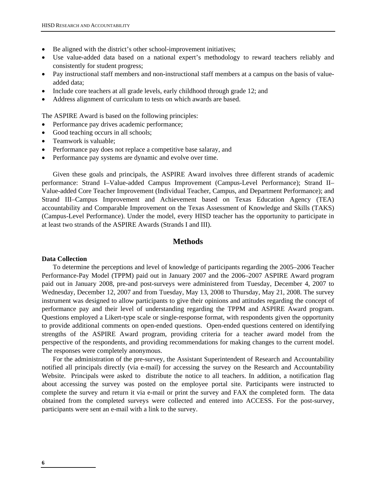- Be aligned with the district's other school-improvement initiatives;
- Use value-added data based on a national expert's methodology to reward teachers reliably and consistently for student progress;
- Pay instructional staff members and non-instructional staff members at a campus on the basis of valueadded data;
- Include core teachers at all grade levels, early childhood through grade 12; and
- Address alignment of curriculum to tests on which awards are based.

The ASPIRE Award is based on the following principles:

- Performance pay drives academic performance;
- Good teaching occurs in all schools;
- Teamwork is valuable;
- Performance pay does not replace a competitive base salaray, and
- Performance pay systems are dynamic and evolve over time.

Given these goals and principals, the ASPIRE Award involves three different strands of academic performance: Strand I–Value-added Campus Improvement (Campus-Level Performance); Strand II– Value-added Core Teacher Improvement (Individual Teacher, Campus, and Department Performance); and Strand III–Campus Improvement and Achievement based on Texas Education Agency (TEA) accountability and Comparable Improvement on the Texas Assessment of Knowledge and Skills (TAKS) (Campus-Level Performance). Under the model, every HISD teacher has the opportunity to participate in at least two strands of the ASPIRE Awards (Strands I and III).

## **Methods**

#### **Data Collection**

To determine the perceptions and level of knowledge of participants regarding the 2005–2006 Teacher Performance-Pay Model (TPPM) paid out in January 2007 and the 2006–2007 ASPIRE Award program paid out in January 2008, pre-and post-surveys were administered from Tuesday, December 4, 2007 to Wednesday, December 12, 2007 and from Tuesday, May 13, 2008 to Thursday, May 21, 2008. The survey instrument was designed to allow participants to give their opinions and attitudes regarding the concept of performance pay and their level of understanding regarding the TPPM and ASPIRE Award program. Questions employed a Likert-type scale or single-response format, with respondents given the opportunity to provide additional comments on open-ended questions. Open-ended questions centered on identifying strengths of the ASPIRE Award program, providing criteria for a teacher award model from the perspective of the respondents, and providing recommendations for making changes to the current model. The responses were completely anonymous.

For the administration of the pre-survey, the Assistant Superintendent of Research and Accountability notified all principals directly (via e-mail) for accessing the survey on the Research and Accountability Website. Principals were asked to distribute the notice to all teachers. In addition, a notification flag about accessing the survey was posted on the employee portal site. Participants were instructed to complete the survey and return it via e-mail or print the survey and FAX the completed form. The data obtained from the completed surveys were collected and entered into ACCESS. For the post-survey, participants were sent an e-mail with a link to the survey.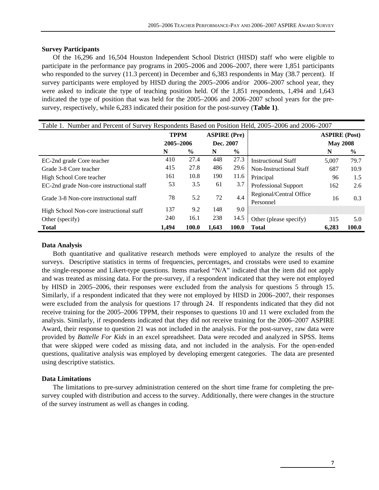#### **Survey Participants**

Of the 16,296 and 16,504 Houston Independent School District (HISD) staff who were eligible to participate in the performance pay programs in 2005–2006 and 2006–2007, there were 1,851 participants who responded to the survey (11.3 percent) in December and 6,383 respondents in May (38.7 percent). If survey participants were employed by HISD during the 2005–2006 and/or 2006–2007 school year, they were asked to indicate the type of teaching position held. Of the 1,851 respondents, 1,494 and 1,643 indicated the type of position that was held for the 2005–2006 and 2006–2007 school years for the presurvey, respectively, while 6,283 indicated their position for the post-survey (**Table 1)**.

| Table 1. Number and Percent of Survey Respondents Based on Position Held, 2005–2006 and 2006–2007 |             |               |                     |               |                                      |                      |       |  |  |
|---------------------------------------------------------------------------------------------------|-------------|---------------|---------------------|---------------|--------------------------------------|----------------------|-------|--|--|
|                                                                                                   | <b>TPPM</b> |               | <b>ASPIRE</b> (Pre) |               |                                      | <b>ASPIRE</b> (Post) |       |  |  |
|                                                                                                   | 2005-2006   |               | Dec. 2007           |               |                                      | <b>May 2008</b>      |       |  |  |
|                                                                                                   | N           | $\frac{6}{9}$ | N                   | $\frac{6}{9}$ |                                      | N                    | $\%$  |  |  |
| EC-2nd grade Core teacher                                                                         | 410         | 27.4          | 448                 | 27.3          | <b>Instructional Staff</b>           | 5,007                | 79.7  |  |  |
| Grade 3-8 Core teacher                                                                            | 415         | 27.8          | 486                 | 29.6          | Non-Instructional Staff              | 687                  | 10.9  |  |  |
| High School Core teacher                                                                          | 161         | 10.8          | 190                 | 11.6          | Principal                            | 96                   | 1.5   |  |  |
| EC-2nd grade Non-core instructional staff                                                         | 53          | 3.5           | 61                  | 3.7           | <b>Professional Support</b>          | 162                  | 2.6   |  |  |
| Grade 3-8 Non-core instructional staff                                                            | 78          | 5.2           | 72                  | 4.4           | Regional/Central Office<br>Personnel | 16                   | 0.3   |  |  |
| High School Non-core instructional staff                                                          | 137         | 9.2           | 148                 | 9.0           |                                      |                      |       |  |  |
| Other (specify)                                                                                   | 240         | 16.1          | 238                 | 14.5          | Other (please specify)               | 315                  | 5.0   |  |  |
| <b>Total</b>                                                                                      | 1,494       | 100.0         | 1,643               | 100.0         | <b>Total</b>                         | 6,283                | 100.0 |  |  |

#### **Data Analysis**

Both quantitative and qualitative research methods were employed to analyze the results of the surveys. Descriptive statistics in terms of frequencies, percentages, and crosstabs were used to examine the single-response and Likert-type questions. Items marked "N/A" indicated that the item did not apply and was treated as missing data. For the pre-survey, if a respondent indicated that they were not employed by HISD in 2005–2006, their responses were excluded from the analysis for questions 5 through 15. Similarly, if a respondent indicated that they were not employed by HISD in 2006–2007, their responses were excluded from the analysis for questions 17 through 24. If respondents indicated that they did not receive training for the 2005–2006 TPPM, their responses to questions 10 and 11 were excluded from the analysis. Similarly, if respondents indicated that they did not receive training for the 2006–2007 ASPIRE Award, their response to question 21 was not included in the analysis. For the post-survey, raw data were provided by *Battelle For Kids* in an excel spreadsheet. Data were recoded and analyzed in SPSS. Items that were skipped were coded as missing data, and not included in the analysis. For the open-ended questions, qualitative analysis was employed by developing emergent categories. The data are presented using descriptive statistics.

#### **Data Limitations**

The limitations to pre-survey administration centered on the short time frame for completing the presurvey coupled with distribution and access to the survey. Additionally, there were changes in the structure of the survey instrument as well as changes in coding.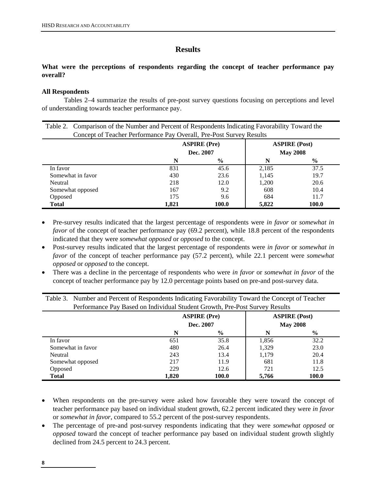## **Results**

## **What were the perceptions of respondents regarding the concept of teacher performance pay overall?**

## **All Respondents**

 Tables 2–4 summarize the results of pre-post survey questions focusing on perceptions and level of understanding towards teacher performance pay.

| Table 2. Comparison of the Number and Percent of Respondents Indicating Favorability Toward the |       |                     |       |                      |  |  |  |  |  |
|-------------------------------------------------------------------------------------------------|-------|---------------------|-------|----------------------|--|--|--|--|--|
| Concept of Teacher Performance Pay Overall, Pre-Post Survey Results                             |       |                     |       |                      |  |  |  |  |  |
|                                                                                                 |       | <b>ASPIRE</b> (Pre) |       | <b>ASPIRE</b> (Post) |  |  |  |  |  |
|                                                                                                 |       | Dec. 2007           |       | <b>May 2008</b>      |  |  |  |  |  |
|                                                                                                 | N     | $\frac{6}{9}$       | N     | $\frac{0}{0}$        |  |  |  |  |  |
| In favor                                                                                        | 831   | 45.6                | 2,185 | 37.5                 |  |  |  |  |  |
| Somewhat in favor                                                                               | 430   | 23.6                | 1,145 | 19.7                 |  |  |  |  |  |
| Neutral                                                                                         | 218   | 12.0                | 1,200 | 20.6                 |  |  |  |  |  |
| Somewhat opposed                                                                                | 167   | 9.2                 | 608   | 10.4                 |  |  |  |  |  |
| Opposed                                                                                         | 175   | 9.6                 | 684   | 11.7                 |  |  |  |  |  |
| <b>Total</b>                                                                                    | 1.821 | 100.0               | 5,822 | 100.0                |  |  |  |  |  |

- Pre-survey results indicated that the largest percentage of respondents were *in favor* or *somewhat in favor* of the concept of teacher performance pay (69.2 percent), while 18.8 percent of the respondents indicated that they were *somewhat opposed* or *opposed* to the concept.
- Post-survey results indicated that the largest percentage of respondents were *in favor* or *somewhat in favor* of the concept of teacher performance pay (57.2 percent), while 22.1 percent were *somewhat opposed* or *opposed* to the concept.
- There was a decline in the percentage of respondents who were *in favor* or *somewhat in favor* of the concept of teacher performance pay by 12.0 percentage points based on pre-and post-survey data.

|                   | Performance Pay Based on Individual Student Growth, Pre-Post Survey Results |                                  |       |                                         |
|-------------------|-----------------------------------------------------------------------------|----------------------------------|-------|-----------------------------------------|
|                   |                                                                             | <b>ASPIRE</b> (Pre)<br>Dec. 2007 |       | <b>ASPIRE (Post)</b><br><b>May 2008</b> |
|                   | N                                                                           | $\frac{6}{9}$                    | N     | $\frac{6}{9}$                           |
| In favor          | 651                                                                         | 35.8                             | 1,856 | 32.2                                    |
| Somewhat in favor | 480                                                                         | 26.4                             | 1,329 | 23.0                                    |
| Neutral           | 243                                                                         | 13.4                             | 1,179 | 20.4                                    |
| Somewhat opposed  | 217                                                                         | 11.9                             | 681   | 11.8                                    |
| Opposed           | 229                                                                         | 12.6                             | 721   | 12.5                                    |
| <b>Total</b>      | 1,820                                                                       | 100.0                            | 5,766 | 100.0                                   |

Table 3. Number and Percent of Respondents Indicating Favorability Toward the Concept of Teacher

- When respondents on the pre-survey were asked how favorable they were toward the concept of teacher performance pay based on individual student growth, 62.2 percent indicated they were *in favor* or *somewhat in favor*, compared to 55.2 percent of the post-survey respondents.
- The percentage of pre-and post-survey respondents indicating that they were *somewhat opposed* or *opposed* toward the concept of teacher performance pay based on individual student growth slightly declined from 24.5 percent to 24.3 percent.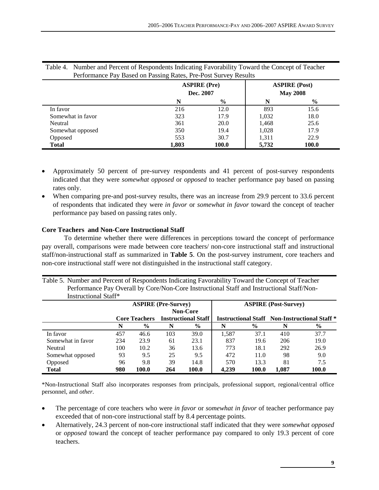|                   |       | <b>ASPIRE</b> (Pre)<br>Dec. 2007 |       | <b>ASPIRE (Post)</b><br><b>May 2008</b> |
|-------------------|-------|----------------------------------|-------|-----------------------------------------|
|                   | N     | $\frac{0}{0}$                    | N     | $\frac{0}{0}$                           |
| In favor          | 216   | 12.0                             | 893   | 15.6                                    |
| Somewhat in favor | 323   | 17.9                             | 1,032 | 18.0                                    |
| Neutral           | 361   | 20.0                             | 1,468 | 25.6                                    |
| Somewhat opposed  | 350   | 19.4                             | 1,028 | 17.9                                    |
| Opposed           | 553   | 30.7                             | 1,311 | 22.9                                    |
| <b>Total</b>      | 1,803 | 100.0                            | 5,732 | 100.0                                   |

Table 4. Number and Percent of Respondents Indicating Favorability Toward the Concept of Teacher Performance Pay Based on Passing Rates, Pre-Post Survey Results

- Approximately 50 percent of pre-survey respondents and 41 percent of post-survey respondents indicated that they were *somewhat opposed* or *opposed* to teacher performance pay based on passing rates only.
- When comparing pre-and post-survey results, there was an increase from 29.9 percent to 33.6 percent of respondents that indicated they were *in favor* or *somewhat in favor* toward the concept of teacher performance pay based on passing rates only.

## **Core Teachers and Non-Core Instructional Staff**

To determine whether there were differences in perceptions toward the concept of performance pay overall, comparisons were made between core teachers/ non-core instructional staff and instructional staff/non-instructional staff as summarized in **Table 5**. On the post-survey instrument, core teachers and non-core instructional staff were not distinguished in the instructional staff category.

| Table 5. Number and Percent of Respondents Indicating Favorability Toward the Concept of Teacher |
|--------------------------------------------------------------------------------------------------|
| Performance Pay Overall by Core/Non-Core Instructional Staff and Instructional Staff/Non-        |
| Instructional Staff*                                                                             |

|                   |     | <b>ASPIRE (Pre-Survey)</b> |                            |                 |       | <b>ASPIRE</b> (Post-Survey)                                     |       |               |  |
|-------------------|-----|----------------------------|----------------------------|-----------------|-------|-----------------------------------------------------------------|-------|---------------|--|
|                   |     |                            |                            | <b>Non-Core</b> |       |                                                                 |       |               |  |
|                   |     | <b>Core Teachers</b>       | <b>Instructional Staff</b> |                 |       | <b>Instructional Staff</b> Non-Instructional Staff <sup>*</sup> |       |               |  |
|                   | N   | $\frac{6}{9}$              | N                          | $\frac{0}{0}$   |       | $\frac{6}{10}$                                                  | N     | $\frac{6}{9}$ |  |
| In favor          | 457 | 46.6                       | 103                        | 39.0            | 1,587 | 37.1                                                            | 410   | 37.7          |  |
| Somewhat in favor | 234 | 23.9                       | 61                         | 23.1            | 837   | 19.6                                                            | 206   | 19.0          |  |
| Neutral           | 100 | 10.2                       | 36                         | 13.6            | 773   | 18.1                                                            | 292   | 26.9          |  |
| Somewhat opposed  | 93  | 9.5                        | 25                         | 9.5             | 472   | 11.0                                                            | 98    | 9.0           |  |
| Opposed           | 96  | 9.8                        | 39                         | 14.8            | 570   | 13.3                                                            | 81    | 7.5           |  |
| <b>Total</b>      | 980 | 100.0                      | 264                        | 100.0           | 4,239 | 100.0                                                           | 1,087 | 100.0         |  |

\*Non-Instructional Staff also incorporates responses from principals, professional support, regional/central office personnel, and *other*.

- The percentage of core teachers who were *in favor* or *somewhat in favor* of teacher performance pay exceeded that of non-core instructional staff by 8.4 percentage points.
- Alternatively, 24.3 percent of non-core instructional staff indicated that they were *somewhat opposed* or *opposed* toward the concept of teacher performance pay compared to only 19.3 percent of core teachers.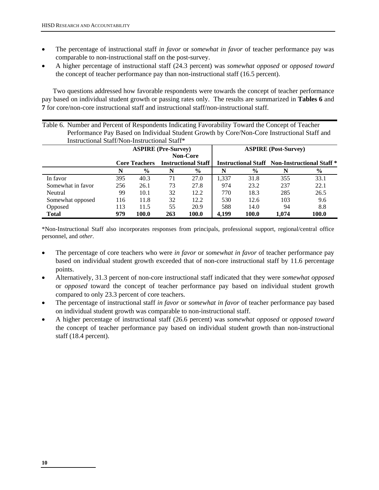- The percentage of instructional staff *in favor* or *somewhat in favor* of teacher performance pay was comparable to non-instructional staff on the post-survey.
- A higher percentage of instructional staff (24.3 percent) was *somewhat opposed* or *opposed toward* the concept of teacher performance pay than non-instructional staff (16.5 percent).

Two questions addressed how favorable respondents were towards the concept of teacher performance pay based on individual student growth or passing rates only. The results are summarized in **Tables 6** and **7** for core/non-core instructional staff and instructional staff/non-instructional staff.

| Table 6. Number and Percent of Respondents Indicating Favorability Toward the Concept of Teacher |     |                      |     |                            |       |               |                                                                 |               |
|--------------------------------------------------------------------------------------------------|-----|----------------------|-----|----------------------------|-------|---------------|-----------------------------------------------------------------|---------------|
| Performance Pay Based on Individual Student Growth by Core/Non-Core Instructional Staff and      |     |                      |     |                            |       |               |                                                                 |               |
| Instructional Staff/Non-Instructional Staff*                                                     |     |                      |     |                            |       |               |                                                                 |               |
| <b>ASPIRE</b> (Pre-Survey)<br><b>ASPIRE</b> (Post-Survey)                                        |     |                      |     |                            |       |               |                                                                 |               |
|                                                                                                  |     | <b>Non-Core</b>      |     |                            |       |               |                                                                 |               |
|                                                                                                  |     | <b>Core Teachers</b> |     | <b>Instructional Staff</b> |       |               | <b>Instructional Staff</b> Non-Instructional Staff <sup>*</sup> |               |
|                                                                                                  | N   | $\%$                 | N   | $\frac{6}{9}$              | N     | $\frac{6}{9}$ | N                                                               | $\frac{6}{9}$ |
| In favor                                                                                         | 395 | 40.3                 | 71  | 27.0                       | 1.337 | 31.8          | 355                                                             | 33.1          |
| Somewhat in favor                                                                                | 256 | 26.1                 | 73  | 27.8                       | 974   | 23.2          | 237                                                             | 22.1          |
| Neutral                                                                                          | 99  | 10.1                 | 32  | 12.2.                      | 770   | 18.3          | 285                                                             | 26.5          |
| Somewhat opposed                                                                                 | 116 | 11.8                 | 32  | 12.2                       | 530   | 12.6          | 103                                                             | 9.6           |
| Opposed                                                                                          | 113 | 11.5                 | 55  | 20.9                       | 588   | 14.0          | 94                                                              | 8.8           |
| <b>Total</b>                                                                                     | 979 | 100.0                | 263 | 100.0                      | 4,199 | 100.0         | 1.074                                                           | 100.0         |

\*Non-Instructional Staff also incorporates responses from principals, professional support, regional/central office personnel, and *other*.

- The percentage of core teachers who were *in favor* or *somewhat in favor* of teacher performance pay based on individual student growth exceeded that of non-core instructional staff by 11.6 percentage points.
- Alternatively, 31.3 percent of non-core instructional staff indicated that they were *somewhat opposed* or *opposed* toward the concept of teacher performance pay based on individual student growth compared to only 23.3 percent of core teachers.
- The percentage of instructional staff *in favor* or *somewhat in favor* of teacher performance pay based on individual student growth was comparable to non-instructional staff.
- A higher percentage of instructional staff (26.6 percent) was *somewhat opposed* or *opposed toward* the concept of teacher performance pay based on individual student growth than non-instructional staff (18.4 percent).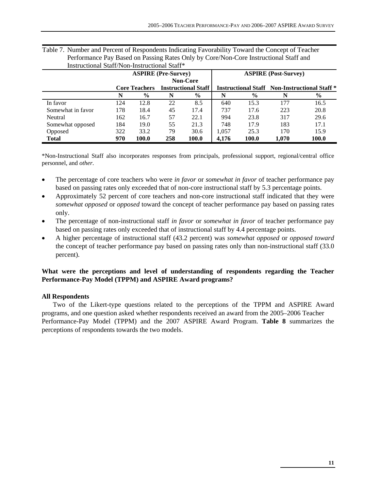| mon actional Danill Fon mon actional Danil |     |                            |                            |                 |                             |                                                                 |       |       |  |
|--------------------------------------------|-----|----------------------------|----------------------------|-----------------|-----------------------------|-----------------------------------------------------------------|-------|-------|--|
|                                            |     | <b>ASPIRE</b> (Pre-Survey) |                            |                 | <b>ASPIRE</b> (Post-Survey) |                                                                 |       |       |  |
|                                            |     |                            |                            | <b>Non-Core</b> |                             |                                                                 |       |       |  |
|                                            |     | <b>Core Teachers</b>       | <b>Instructional Staff</b> |                 |                             | <b>Instructional Staff</b> Non-Instructional Staff <sup>*</sup> |       |       |  |
|                                            | N   | $\frac{6}{9}$              | N                          | $\%$            |                             | $\frac{6}{9}$                                                   | N     | $\%$  |  |
| In favor                                   | 124 | 12.8                       | 22                         | 8.5             | 640                         | 15.3                                                            | 177   | 16.5  |  |
| Somewhat in favor                          | 178 | 18.4                       | 45                         | 17.4            | 737                         | 17.6                                                            | 223   | 20.8  |  |
| Neutral                                    | 162 | 16.7                       | 57                         | 22.1            | 994                         | 23.8                                                            | 317   | 29.6  |  |
| Somewhat opposed                           | 184 | 19.0                       | 55                         | 21.3            | 748                         | 17.9                                                            | 183   | 17.1  |  |
| Opposed                                    | 322 | 33.2                       | 79                         | 30.6            | 1.057                       | 25.3                                                            | 170   | 15.9  |  |
| <b>Total</b>                               | 970 | 100.0                      | 258                        | 100.0           | 4.176                       | 100.0                                                           | 1.070 | 100.0 |  |

| Table 7. Number and Percent of Respondents Indicating Favorability Toward the Concept of Teacher |
|--------------------------------------------------------------------------------------------------|
| Performance Pay Based on Passing Rates Only by Core/Non-Core Instructional Staff and             |
| Instructional Staff/Non-Instructional Staff*                                                     |

\*Non-Instructional Staff also incorporates responses from principals, professional support, regional/central office personnel, and *other*.

- The percentage of core teachers who were *in favor* or *somewhat in favor* of teacher performance pay based on passing rates only exceeded that of non-core instructional staff by 5.3 percentage points.
- Approximately 52 percent of core teachers and non-core instructional staff indicated that they were *somewhat opposed* or *opposed* toward the concept of teacher performance pay based on passing rates only.
- The percentage of non-instructional staff *in favor* or *somewhat in favor* of teacher performance pay based on passing rates only exceeded that of instructional staff by 4.4 percentage points.
- A higher percentage of instructional staff (43.2 percent) was *somewhat opposed* or *opposed toward* the concept of teacher performance pay based on passing rates only than non-instructional staff (33.0 percent).

## **What were the perceptions and level of understanding of respondents regarding the Teacher Performance-Pay Model (TPPM) and ASPIRE Award programs?**

#### **All Respondents**

Two of the Likert-type questions related to the perceptions of the TPPM and ASPIRE Award programs, and one question asked whether respondents received an award from the 2005–2006 Teacher Performance-Pay Model (TPPM) and the 2007 ASPIRE Award Program. **Table 8** summarizes the perceptions of respondents towards the two models.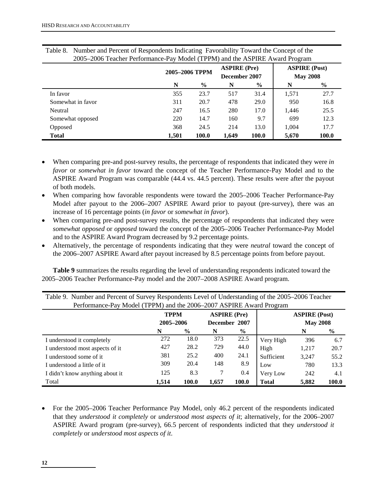| 2005–2006 Teacher Performance-Pay Model (TPPM) and the ASPIKE Award Program |                |       |                     |       |       |                                         |  |  |
|-----------------------------------------------------------------------------|----------------|-------|---------------------|-------|-------|-----------------------------------------|--|--|
|                                                                             | 2005-2006 TPPM |       | <b>ASPIRE</b> (Pre) |       |       | <b>ASPIRE (Post)</b><br><b>May 2008</b> |  |  |
|                                                                             |                |       | December 2007       |       |       |                                         |  |  |
|                                                                             | N              | $\%$  | N                   | $\%$  | N     | $\frac{0}{0}$                           |  |  |
| In favor                                                                    | 355            | 23.7  | 517                 | 31.4  | 1,571 | 27.7                                    |  |  |
| Somewhat in favor                                                           | 311            | 20.7  | 478                 | 29.0  | 950   | 16.8                                    |  |  |
| Neutral                                                                     | 247            | 16.5  | 280                 | 17.0  | 1.446 | 25.5                                    |  |  |
| Somewhat opposed                                                            | 220            | 14.7  | 160                 | 9.7   | 699   | 12.3                                    |  |  |
| Opposed                                                                     | 368            | 24.5  | 214                 | 13.0  | 1.004 | 17.7                                    |  |  |
| <b>Total</b>                                                                | 1,501          | 100.0 | 1,649               | 100.0 | 5,670 | 100.0                                   |  |  |

| Table 8. Number and Percent of Respondents Indicating Favorability Toward the Concept of the |
|----------------------------------------------------------------------------------------------|
| 2005–2006 Teacher Performance-Pay Model (TPPM) and the ASPIRE Award Program                  |

- When comparing pre-and post-survey results, the percentage of respondents that indicated they were *in favor* or *somewhat in favor* toward the concept of the Teacher Performance-Pay Model and to the ASPIRE Award Program was comparable (44.4 vs. 44.5 percent). These results were after the payout of both models.
- When comparing how favorable respondents were toward the 2005–2006 Teacher Performance-Pay Model after payout to the 2006–2007 ASPIRE Award prior to payout (pre-survey), there was an increase of 16 percentage points (*in favor* or *somewhat in favor*).
- When comparing pre-and post-survey results, the percentage of respondents that indicated they were *somewhat opposed* or *opposed* toward the concept of the 2005–2006 Teacher Performance-Pay Model and to the ASPIRE Award Program decreased by 9.2 percentage points.
- Alternatively, the percentage of respondents indicating that they were *neutral* toward the concept of the 2006–2007 ASPIRE Award after payout increased by 8.5 percentage points from before payout.

**Table 9** summarizes the results regarding the level of understanding respondents indicated toward the 2005–2006 Teacher Performance-Pay model and the 2007–2008 ASPIRE Award program.

| TWO IS A CONTROL WITH THE STATISTIC OF DWL CO. I LOOP OF WHILE THE OTHER DIMENSIONS THAT THE THREE IS A LOCAL THREE IS A LOCAL THREE IS A LOCAL THREE IS A LOCAL THREE IS A LOCAL THREE IS A LOCAL THREE IS A LOCAL THREE IS<br>Performance-Pay Model (TPPM) and the 2006–2007 ASPIRE Award Program |             |               |                     |               |              |                      |       |  |  |  |
|-----------------------------------------------------------------------------------------------------------------------------------------------------------------------------------------------------------------------------------------------------------------------------------------------------|-------------|---------------|---------------------|---------------|--------------|----------------------|-------|--|--|--|
|                                                                                                                                                                                                                                                                                                     | <b>TPPM</b> |               | <b>ASPIRE</b> (Pre) |               |              | <b>ASPIRE (Post)</b> |       |  |  |  |
|                                                                                                                                                                                                                                                                                                     |             | 2005-2006     |                     | December 2007 |              | <b>May 2008</b>      |       |  |  |  |
|                                                                                                                                                                                                                                                                                                     | N           | $\frac{6}{6}$ | N                   | $\%$          |              | N                    | $\%$  |  |  |  |
| I understood it completely                                                                                                                                                                                                                                                                          | 272         | 18.0          | 373                 | 22.5          | Very High    | 396                  | 6.7   |  |  |  |
| I understood most aspects of it                                                                                                                                                                                                                                                                     | 427         | 28.2          | 729                 | 44.0          | High         | 1,217                | 20.7  |  |  |  |
| I understood some of it.                                                                                                                                                                                                                                                                            | 381         | 25.2          | 400                 | 24.1          | Sufficient   | 3.247                | 55.2  |  |  |  |
| I understood a little of it                                                                                                                                                                                                                                                                         | 309         | 20.4          | 148                 | 8.9           | Low          | 780                  | 13.3  |  |  |  |
| I didn't know anything about it                                                                                                                                                                                                                                                                     | 125         | 8.3           |                     | 0.4           | Very Low     | 242                  | 4.1   |  |  |  |
| Total                                                                                                                                                                                                                                                                                               | 1.514       | 100.0         | 1,657               | 100.0         | <b>Total</b> | 5,882                | 100.0 |  |  |  |

Table 9. Number and Percent of Survey Respondents Level of Understanding of the 2005–2006 Teacher

• For the 2005–2006 Teacher Performance Pay Model, only 46.2 percent of the respondents indicated that they *understood it completely* or *understood most aspects of it*; alternatively, for the 2006–2007 ASPIRE Award program (pre-survey), 66.5 percent of respondents indicted that they *understood it completely* or *understood most aspects of it*.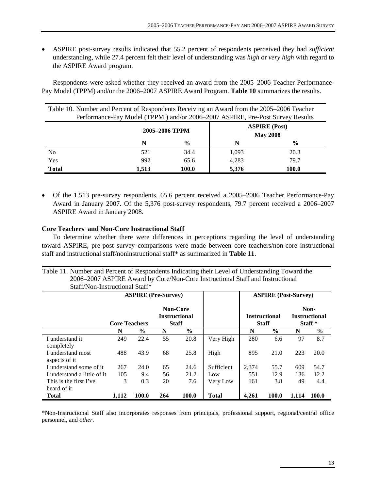• ASPIRE post-survey results indicated that 55.2 percent of respondents perceived they had *sufficient* understanding, while 27.4 percent felt their level of understanding was *high* or *very high* with regard to the ASPIRE Award program.

Respondents were asked whether they received an award from the 2005–2006 Teacher Performance-Pay Model (TPPM) and/or the 2006–2007 ASPIRE Award Program. **Table 10** summarizes the results.

| Table 10. Number and Percent of Respondents Receiving an Award from the 2005–2006 Teacher<br>Performance-Pay Model (TPPM) and/or 2006–2007 ASPIRE, Pre-Post Survey Results |       |                |                                         |               |  |  |
|----------------------------------------------------------------------------------------------------------------------------------------------------------------------------|-------|----------------|-----------------------------------------|---------------|--|--|
|                                                                                                                                                                            |       | 2005-2006 TPPM | <b>ASPIRE</b> (Post)<br><b>May 2008</b> |               |  |  |
|                                                                                                                                                                            | N     | $\frac{0}{0}$  | N                                       | $\frac{6}{9}$ |  |  |
| No                                                                                                                                                                         | 521   | 34.4           | 1,093                                   | 20.3          |  |  |
| Yes                                                                                                                                                                        | 992   | 65.6           | 4,283                                   | 79.7          |  |  |
| <b>Total</b>                                                                                                                                                               | 1,513 | 100.0          | 5,376                                   | 100.0         |  |  |

• Of the 1,513 pre-survey respondents, 65.6 percent received a 2005–2006 Teacher Performance-Pay Award in January 2007. Of the 5,376 post-survey respondents, 79.7 percent received a 2006–2007 ASPIRE Award in January 2008.

#### **Core Teachers and Non-Core Instructional Staff**

To determine whether there were differences in perceptions regarding the level of understanding toward ASPIRE, pre-post survey comparisons were made between core teachers/non-core instructional staff and instructional staff/noninstructional staff\* as summarized in **Table 11**.

Table 11. Number and Percent of Respondents Indicating their Level of Understanding Toward the 2006–2007 ASPIRE Award by Core/Non-Core Instructional Staff and Instructional Staff/Non-Instructional Staff\*

|                                    |                      | <b>ASPIRE</b> (Pre-Survey) |     |                                                         |              |       | <b>ASPIRE</b> (Post-Survey)          |       |                                                    |
|------------------------------------|----------------------|----------------------------|-----|---------------------------------------------------------|--------------|-------|--------------------------------------|-------|----------------------------------------------------|
|                                    | <b>Core Teachers</b> |                            |     | <b>Non-Core</b><br><b>Instructional</b><br><b>Staff</b> |              |       | <b>Instructional</b><br><b>Staff</b> |       | Non-<br><b>Instructional</b><br>Staff <sup>*</sup> |
|                                    | N                    | $\frac{6}{9}$              | N   | $\frac{6}{6}$                                           |              | N     | $\frac{6}{9}$                        | N     | $\frac{6}{9}$                                      |
| I understand it<br>completely      | 249                  | 22.4                       | 55  | 20.8                                                    | Very High    | 280   | 6.6                                  | 97    | 8.7                                                |
| I understand most<br>aspects of it | 488                  | 43.9                       | 68  | 25.8                                                    | High         | 895   | 21.0                                 | 223   | 20.0                                               |
| I understand some of it            | 267                  | 24.0                       | 65  | 24.6                                                    | Sufficient   | 2,374 | 55.7                                 | 609   | 54.7                                               |
| I understand a little of it.       | 105                  | 9.4                        | 56  | 21.2                                                    | Low          | 551   | 12.9                                 | 136   | 12.2                                               |
| This is the first I've             | 3                    | 0.3                        | 20  | 7.6                                                     | Very Low     | 161   | 3.8                                  | 49    | 4.4                                                |
| heard of it                        |                      |                            |     |                                                         |              |       |                                      |       |                                                    |
| <b>Total</b>                       | 1.112                | 100.0                      | 264 | 100.0                                                   | <b>Total</b> | 4.261 | 100.0                                | 1.114 | 100.0                                              |

\*Non-Instructional Staff also incorporates responses from principals, professional support, regional/central office personnel, and *other*.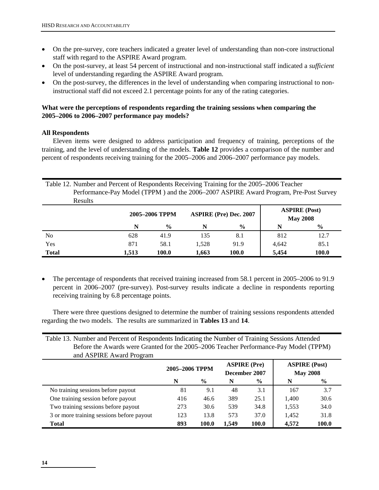- On the pre-survey, core teachers indicated a greater level of understanding than non-core instructional staff with regard to the ASPIRE Award program.
- On the post-survey, at least 54 percent of instructional and non-instructional staff indicated a *sufficient* level of understanding regarding the ASPIRE Award program.
- On the post-survey, the differences in the level of understanding when comparing instructional to noninstructional staff did not exceed 2.1 percentage points for any of the rating categories.

## **What were the perceptions of respondents regarding the training sessions when comparing the 2005–2006 to 2006–2007 performance pay models?**

## **All Respondents**

Eleven items were designed to address participation and frequency of training, perceptions of the training, and the level of understanding of the models. **Table 12** provides a comparison of the number and percent of respondents receiving training for the 2005–2006 and 2006–2007 performance pay models.

|    | Table 12. Number and Percent of Respondents Receiving Training for the 2005–2006 Teacher |     |                |     |                               |                                         |               |  |
|----|------------------------------------------------------------------------------------------|-----|----------------|-----|-------------------------------|-----------------------------------------|---------------|--|
|    | Performance-Pay Model (TPPM) and the 2006–2007 ASPIRE Award Program, Pre-Post Survey     |     |                |     |                               |                                         |               |  |
|    | Results                                                                                  |     |                |     |                               |                                         |               |  |
|    |                                                                                          |     | 2005-2006 TPPM |     | <b>ASPIRE (Pre) Dec. 2007</b> | <b>ASPIRE</b> (Post)<br><b>May 2008</b> |               |  |
|    |                                                                                          | N   | $\frac{0}{0}$  |     | $\frac{0}{0}$                 | N                                       | $\frac{0}{0}$ |  |
| No |                                                                                          | 628 | 41.9           | 135 | 8.1                           | 812                                     |               |  |

• The percentage of respondents that received training increased from 58.1 percent in 2005–2006 to 91.9 percent in 2006–2007 (pre-survey). Post-survey results indicate a decline in respondents reporting receiving training by 6.8 percentage points.

Yes 871 58.1 1,528 91.9 4,642 85.1 **Total 1,513 100.0 1,663 100.0 5,454 100.0** 

There were three questions designed to determine the number of training sessions respondents attended regarding the two models. The results are summarized in **Tables 13** and **14**.

Table 13. Number and Percent of Respondents Indicating the Number of Training Sessions Attended Before the Awards were Granted for the 2005–2006 Teacher Performance-Pay Model (TPPM) and ASPIRE Award Program

|                                           | 2005-2006 TPPM |               |       | <b>ASPIRE</b> (Pre)<br>December 2007 | <b>ASPIRE (Post)</b><br><b>May 2008</b> |       |
|-------------------------------------------|----------------|---------------|-------|--------------------------------------|-----------------------------------------|-------|
|                                           | N              | $\frac{6}{9}$ | N     | $\frac{6}{10}$                       | N                                       | $\%$  |
| No training sessions before payout        | 81             | 9.1           | 48    | 3.1                                  | 167                                     | 3.7   |
| One training session before payout        | 416            | 46.6          | 389   | 25.1                                 | 1.400                                   | 30.6  |
| Two training sessions before payout       | 273            | 30.6          | 539   | 34.8                                 | 1,553                                   | 34.0  |
| 3 or more training sessions before payout | 123            | 13.8          | 573   | 37.0                                 | 1,452                                   | 31.8  |
| <b>Total</b>                              | 893            | 100.0         | 1.549 | 100.0                                | 4.572                                   | 100.0 |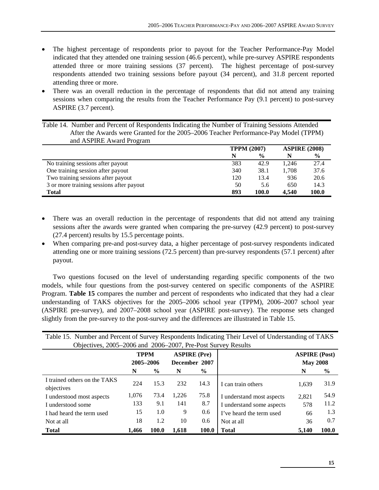- The highest percentage of respondents prior to payout for the Teacher Performance-Pay Model indicated that they attended one training session (46.6 percent), while pre-survey ASPIRE respondents attended three or more training sessions (37 percent). The highest percentage of post-survey respondents attended two training sessions before payout (34 percent), and 31.8 percent reported attending three or more.
- There was an overall reduction in the percentage of respondents that did not attend any training sessions when comparing the results from the Teacher Performance Pay (9.1 percent) to post-survey ASPIRE (3.7 percent).

Table 14. Number and Percent of Respondents Indicating the Number of Training Sessions Attended After the Awards were Granted for the 2005–2006 Teacher Performance-Pay Model (TPPM) and ASPIRE Award Program

|                                          | <b>TPPM (2007)</b> |               | <b>ASPIRE (2008)</b> |               |
|------------------------------------------|--------------------|---------------|----------------------|---------------|
|                                          | N                  | $\frac{6}{9}$ | N                    | $\frac{6}{9}$ |
| No training sessions after payout        | 383                | 42.9          | 1.246                | 27.4          |
| One training session after payout        | 340                | 38.1          | 1.708                | 37.6          |
| Two training sessions after payout       | 120                | 13.4          | 936                  | 20.6          |
| 3 or more training sessions after payout | 50                 | 5.6           | 650                  | 14.3          |
| Total                                    | 893                | 100.0         | 4.540                | 100.0         |

- There was an overall reduction in the percentage of respondents that did not attend any training sessions after the awards were granted when comparing the pre-survey (42.9 percent) to post-survey (27.4 percent) results by 15.5 percentage points.
- When comparing pre-and post-survey data, a higher percentage of post-survey respondents indicated attending one or more training sessions (72.5 percent) than pre-survey respondents (57.1 percent) after payout.

Two questions focused on the level of understanding regarding specific components of the two models, while four questions from the post-survey centered on specific components of the ASPIRE Program. **Table 15** compares the number and percent of respondents who indicated that they had a clear understanding of TAKS objectives for the 2005–2006 school year (TPPM), 2006–2007 school year (ASPIRE pre-survey), and 2007–2008 school year (ASPIRE post-survey). The response sets changed slightly from the pre-survey to the post-survey and the differences are illustrated in Table 15.

| Table 15. Number and Percent of Survey Respondents Indicating Their Level of Understanding of TAKS |                                                              |               |               |               |                           |                 |               |  |
|----------------------------------------------------------------------------------------------------|--------------------------------------------------------------|---------------|---------------|---------------|---------------------------|-----------------|---------------|--|
|                                                                                                    | Objectives, 2005–2006 and 2006–2007, Pre-Post Survey Results |               |               |               |                           |                 |               |  |
|                                                                                                    | <b>ASPIRE</b> (Pre)<br><b>TPPM</b>                           |               |               |               | <b>ASPIRE (Post)</b>      |                 |               |  |
|                                                                                                    | 2005-2006                                                    |               | December 2007 |               |                           | <b>May 2008</b> |               |  |
|                                                                                                    | N                                                            | $\frac{6}{9}$ | N             | $\frac{6}{9}$ |                           | N               | $\frac{6}{9}$ |  |
| I trained others on the TAKS                                                                       | 224                                                          | 15.3          | 232           | 14.3          |                           |                 | 31.9          |  |
| objectives                                                                                         |                                                              |               |               |               | I can train others        | 1,639           |               |  |
| I understood most aspects                                                                          | 1,076                                                        | 73.4          | 1,226         | 75.8          | I understand most aspects | 2,821           | 54.9          |  |
| I understood some                                                                                  | 133                                                          | 9.1           | 141           | 8.7           | I understand some aspects | 578             | 11.2          |  |
| I had heard the term used                                                                          | 15                                                           | 1.0           | 9             | 0.6           | I've heard the term used  | 66              | 1.3           |  |
| Not at all                                                                                         | 18                                                           | 1.2           | 10            | 0.6           | Not at all                | 36              | 0.7           |  |
| <b>Total</b>                                                                                       | 1.466                                                        | 100.0         | 1.618         | 100.0         | <b>Total</b>              | 5,140           | 100.0         |  |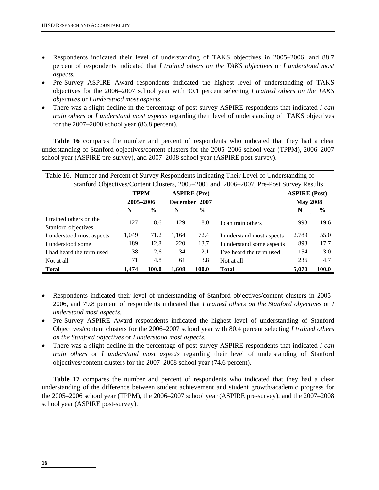- Respondents indicated their level of understanding of TAKS objectives in 2005–2006, and 88.7 percent of respondents indicated that *I trained others on the TAKS objectives* or *I understood most aspects.*
- Pre-Survey ASPIRE Award respondents indicated the highest level of understanding of TAKS objectives for the 2006–2007 school year with 90.1 percent selecting *I trained others on the TAKS objectives* or *I understood most aspects*.
- There was a slight decline in the percentage of post-survey ASPIRE respondents that indicated *I can train others* or *I understand most aspects* regarding their level of understanding of TAKS objectives for the 2007–2008 school year (86.8 percent).

**Table 16** compares the number and percent of respondents who indicated that they had a clear understanding of Stanford objectives/content clusters for the 2005–2006 school year (TPPM), 2006–2007 school year (ASPIRE pre-survey), and 2007–2008 school year (ASPIRE post-survey).

| Table 16. Number and Percent of Survey Respondents Indicating Their Level of Understanding of |                                                                                        |                     |               |               |                           |                      |       |  |
|-----------------------------------------------------------------------------------------------|----------------------------------------------------------------------------------------|---------------------|---------------|---------------|---------------------------|----------------------|-------|--|
|                                                                                               | Stanford Objectives/Content Clusters, 2005–2006 and 2006–2007, Pre-Post Survey Results |                     |               |               |                           |                      |       |  |
|                                                                                               | <b>TPPM</b>                                                                            | <b>ASPIRE</b> (Pre) |               |               |                           | <b>ASPIRE</b> (Post) |       |  |
|                                                                                               | 2005-2006                                                                              |                     | December 2007 |               |                           | <b>May 2008</b>      |       |  |
|                                                                                               | N                                                                                      | $\frac{6}{9}$       | N             | $\frac{0}{0}$ |                           | N                    | $\%$  |  |
| I trained others on the                                                                       | 127                                                                                    | 8.6                 | 129           | 8.0           | I can train others        | 993                  | 19.6  |  |
| Stanford objectives                                                                           |                                                                                        |                     |               |               |                           |                      |       |  |
| I understood most aspects                                                                     | 1,049                                                                                  | 71.2                | 1.164         | 72.4          | I understand most aspects | 2,789                | 55.0  |  |
| I understood some                                                                             | 189                                                                                    | 12.8                | 220           | 13.7          | I understand some aspects | 898                  | 17.7  |  |
| I had heard the term used                                                                     | 38                                                                                     | 2.6                 | 34            | 2.1           | I've heard the term used  | 154                  | 3.0   |  |
| Not at all                                                                                    | 71                                                                                     | 4.8                 | 61            | 3.8           | Not at all                | 236                  | 4.7   |  |
| <b>Total</b>                                                                                  | 1.474                                                                                  | 100.0               | 1.608         | 100.0         | <b>Total</b>              | 5.070                | 100.0 |  |

- Respondents indicated their level of understanding of Stanford objectives/content clusters in 2005– 2006, and 79.8 percent of respondents indicated that *I trained others on the Stanford objectives* or *I understood most aspects*.
- Pre-Survey ASPIRE Award respondents indicated the highest level of understanding of Stanford Objectives/content clusters for the 2006–2007 school year with 80.4 percent selecting *I trained others on the Stanford objectives* or *I understood most aspects*.
- There was a slight decline in the percentage of post-survey ASPIRE respondents that indicated *I can train others* or *I understand most aspects* regarding their level of understanding of Stanford objectives/content clusters for the 2007–2008 school year (74.6 percent).

**Table 17** compares the number and percent of respondents who indicated that they had a clear understanding of the difference between student achievement and student growth/academic progress for the 2005–2006 school year (TPPM), the 2006–2007 school year (ASPIRE pre-survey), and the 2007–2008 school year (ASPIRE post-survey).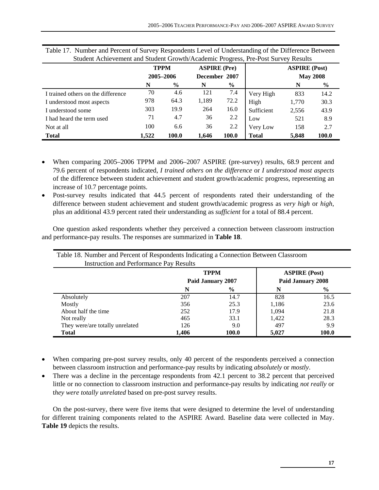|                                    | <b>TPPM</b><br>2005-2006 |               | <b>ASPIRE</b> (Pre)<br>December 2007 |                |              | <b>ASPIRE (Post)</b><br><b>May 2008</b> |               |
|------------------------------------|--------------------------|---------------|--------------------------------------|----------------|--------------|-----------------------------------------|---------------|
|                                    | N                        | $\frac{6}{9}$ | N                                    | $\frac{6}{10}$ |              | N                                       | $\frac{0}{0}$ |
| I trained others on the difference | 70                       | 4.6           | 121                                  | 7.4            | Very High    | 833                                     | 14.2          |
| I understood most aspects          | 978                      | 64.3          | 1,189                                | 72.2           | High         | 1,770                                   | 30.3          |
| I understood some                  | 303                      | 19.9          | 264                                  | 16.0           | Sufficient   | 2,556                                   | 43.9          |
| I had heard the term used          | 71                       | 4.7           | 36                                   | 2.2            | Low          | 521                                     | 8.9           |
| Not at all                         | 100                      | 6.6           | 36                                   | 2.2            | Very Low     | 158                                     | 2.7           |
| <b>Total</b>                       | 1.522                    | 100.0         | 1,646                                | 100.0          | <b>Total</b> | 5,848                                   | 100.0         |

Table 17. Number and Percent of Survey Respondents Level of Understanding of the Difference Between Student Achievement and Student Growth/Academic Progress, Pre-Post Survey Results

- When comparing 2005–2006 TPPM and 2006–2007 ASPIRE (pre-survey) results, 68.9 percent and 79.6 percent of respondents indicated, *I trained others on the difference* or *I understood most aspects* of the difference between student achievement and student growth/academic progress, representing an increase of 10.7 percentage points.
- Post-survey results indicated that 44.5 percent of respondents rated their understanding of the difference between student achievement and student growth/academic progress as *very high* or *high*, plus an additional 43.9 percent rated their understanding as *sufficient* for a total of 88.4 percent.

One question asked respondents whether they perceived a connection between classroom instruction and performance-pay results. The responses are summarized in **Table 18**.

| Table 18. Number and Percent of Respondents indicating a Connection Between Classroom |       |                   |       |                      |  |  |  |
|---------------------------------------------------------------------------------------|-------|-------------------|-------|----------------------|--|--|--|
| <b>Instruction and Performance Pay Results</b>                                        |       |                   |       |                      |  |  |  |
|                                                                                       |       | <b>TPPM</b>       |       | <b>ASPIRE (Post)</b> |  |  |  |
|                                                                                       |       | Paid January 2007 |       | Paid January 2008    |  |  |  |
|                                                                                       |       | $\frac{6}{9}$     | N     | $\frac{0}{0}$        |  |  |  |
| Absolutely                                                                            | 207   | 14.7              | 828   | 16.5                 |  |  |  |
| Mostly                                                                                | 356   | 25.3              | 1,186 | 23.6                 |  |  |  |
| About half the time                                                                   | 252   | 17.9              | 1.094 | 21.8                 |  |  |  |
| Not really                                                                            | 465   | 33.1              | 1,422 | 28.3                 |  |  |  |
| They were/are totally unrelated                                                       | 126   | 9.0               | 497   | 9.9                  |  |  |  |
| <b>Total</b>                                                                          | 1,406 | 100.0             | 5,027 | 100.0                |  |  |  |

Table 18. Number and Percent of Respondents Indicating a Connection Between Classroom

- When comparing pre-post survey results, only 40 percent of the respondents perceived a connection between classroom instruction and performance-pay results by indicating *absolutely* or *mostly*.
- There was a decline in the percentage respondents from 42.1 percent to 38.2 percent that perceived little or no connection to classroom instruction and performance-pay results by indicating *not really* or t*hey were totally unrelated* based on pre-post survey results.

On the post-survey, there were five items that were designed to determine the level of understanding for different training components related to the ASPIRE Award. Baseline data were collected in May. **Table 19** depicts the results.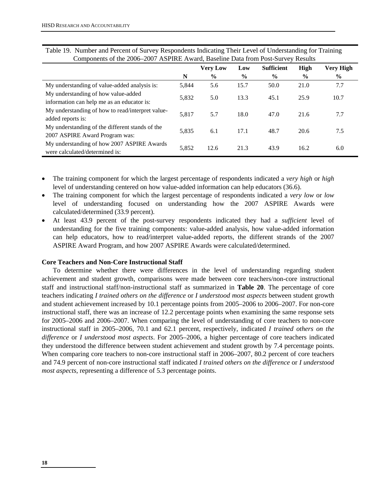| Components of the 2000–2007 AST INL Award, Daschill Data from I ost-Survey Nesults |       |                 |               |                   |               |                  |  |  |
|------------------------------------------------------------------------------------|-------|-----------------|---------------|-------------------|---------------|------------------|--|--|
|                                                                                    |       | <b>Very Low</b> | Low           | <b>Sufficient</b> | High          | <b>Very High</b> |  |  |
|                                                                                    | N     | $\frac{0}{0}$   | $\frac{6}{9}$ | $\%$              | $\frac{6}{9}$ | $\frac{0}{0}$    |  |  |
| My understanding of value-added analysis is:                                       | 5,844 | 5.6             | 15.7          | 50.0              | 21.0          | 7.7              |  |  |
| My understanding of how value-added                                                | 5,832 | 5.0             | 13.3          | 45.1              | 25.9          | 10.7             |  |  |
| information can help me as an educator is:                                         |       |                 |               |                   |               |                  |  |  |
| My understanding of how to read/interpret value-                                   | 5,817 | 5.7             | 18.0          | 47.0              | 21.6          | 7.7              |  |  |
| added reports is:                                                                  |       |                 |               |                   |               |                  |  |  |
| My understanding of the different stands of the                                    | 5,835 | 6.1             | 17.1          | 48.7              | 20.6          | 7.5              |  |  |
| 2007 ASPIRE Award Program was:                                                     |       |                 |               |                   |               |                  |  |  |
| My understanding of how 2007 ASPIRE Awards                                         |       |                 |               |                   |               |                  |  |  |
| were calculated/determined is:                                                     | 5,852 | 12.6            | 21.3          | 43.9              | 16.2          | 6.0              |  |  |

Table 19. Number and Percent of Survey Respondents Indicating Their Level of Understanding for Training Components of the 2006–2007 ASPIRE Award, Baseline Data from Post-Survey Results

- The training component for which the largest percentage of respondents indicated a *very high* or *high* level of understanding centered on how value-added information can help educators (36.6).
- The training component for which the largest percentage of respondents indicated a *very low* or *low*  level of understanding focused on understanding how the 2007 ASPIRE Awards were calculated/determined (33.9 percent).
- At least 43.9 percent of the post-survey respondents indicated they had a *sufficient* level of understanding for the five training components: value-added analysis, how value-added information can help educators, how to read/interpret value-added reports, the different strands of the 2007 ASPIRE Award Program, and how 2007 ASPIRE Awards were calculated/determined.

#### **Core Teachers and Non-Core Instructional Staff**

To determine whether there were differences in the level of understanding regarding student achievement and student growth, comparisons were made between core teachers/non-core instructional staff and instructional staff/non-instructional staff as summarized in **Table 20**. The percentage of core teachers indicating *I trained others on the difference* or *I understood most aspects* between student growth and student achievement increased by 10.1 percentage points from 2005–2006 to 2006–2007. For non-core instructional staff, there was an increase of 12.2 percentage points when examining the same response sets for 2005–2006 and 2006–2007. When comparing the level of understanding of core teachers to non-core instructional staff in 2005–2006, 70.1 and 62.1 percent, respectively, indicated *I trained others on the difference* or *I understood most aspects*. For 2005–2006, a higher percentage of core teachers indicated they understood the difference between student achievement and student growth by 7.4 percentage points. When comparing core teachers to non-core instructional staff in 2006–2007, 80.2 percent of core teachers and 74.9 percent of non-core instructional staff indicated *I trained others on the difference* or *I understood most aspects*, representing a difference of 5.3 percentage points.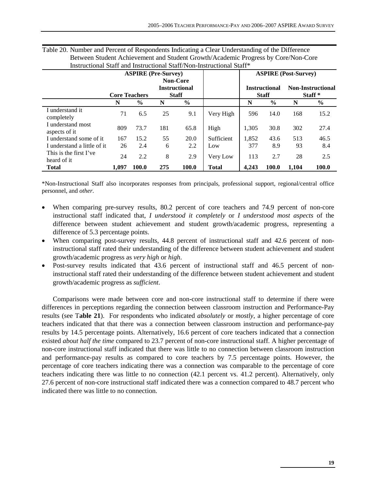|                                       |                      |               | <b>ASPIRE</b> (Pre-Survey)                              |               |              | <b>ASPIRE (Post-Survey)</b> |                                      |       |                                                |
|---------------------------------------|----------------------|---------------|---------------------------------------------------------|---------------|--------------|-----------------------------|--------------------------------------|-------|------------------------------------------------|
|                                       | <b>Core Teachers</b> |               | <b>Non-Core</b><br><b>Instructional</b><br><b>Staff</b> |               |              |                             | <b>Instructional</b><br><b>Staff</b> |       | <b>Non-Instructional</b><br>Staff <sup>*</sup> |
|                                       | N                    | $\frac{6}{9}$ | N                                                       | $\frac{0}{0}$ |              | N                           | $\frac{6}{9}$                        | N     | $\frac{0}{0}$                                  |
| I understand it<br>completely         | 71                   | 6.5           | 25                                                      | 9.1           | Very High    | 596                         | 14.0                                 | 168   | 15.2                                           |
| I understand most<br>aspects of it    | 809                  | 73.7          | 181                                                     | 65.8          | High         | 1.305                       | 30.8                                 | 302   | 27.4                                           |
| I understand some of it               | 167                  | 15.2          | 55                                                      | 20.0          | Sufficient   | 1.852                       | 43.6                                 | 513   | 46.5                                           |
| I understand a little of it.          | 26                   | 2.4           | 6                                                       | 2.2           | Low          | 377                         | 8.9                                  | 93    | 8.4                                            |
| This is the first I've<br>heard of it | 24                   | 2.2           | 8                                                       | 2.9           | Very Low     | 113                         | 2.7                                  | 28    | 2.5                                            |
| <b>Total</b>                          | 1.097                | 100.0         | 275                                                     | 100.0         | <b>Total</b> | 4.243                       | 100.0                                | 1,104 | 100.0                                          |

| Table 20. Number and Percent of Respondents Indicating a Clear Understanding of the Difference |
|------------------------------------------------------------------------------------------------|
| Between Student Achievement and Student Growth/Academic Progress by Core/Non-Core              |
| Instructional Staff and Instructional Staff/Non-Instructional Staff*                           |

\*Non-Instructional Staff also incorporates responses from principals, professional support, regional/central office personnel, and *other*.

- When comparing pre-survey results, 80.2 percent of core teachers and 74.9 percent of non-core instructional staff indicated that, *I understood it completely* or *I understood most aspects* of the difference between student achievement and student growth/academic progress, representing a difference of 5.3 percentage points.
- When comparing post-survey results, 44.8 percent of instructional staff and 42.6 percent of noninstructional staff rated their understanding of the difference between student achievement and student growth/academic progress as *very high* or *high*.
- Post-survey results indicated that 43.6 percent of instructional staff and 46.5 percent of noninstructional staff rated their understanding of the difference between student achievement and student growth/academic progress as *sufficient*.

Comparisons were made between core and non-core instructional staff to determine if there were differences in perceptions regarding the connection between classroom instruction and Performance-Pay results (see T**able 21**). For respondents who indicated *absolutely* or *mostly*, a higher percentage of core teachers indicated that that there was a connection between classroom instruction and performance-pay results by 14.5 percentage points. Alternatively, 16.6 percent of core teachers indicated that a connection existed *about half the time* compared to 23.7 percent of non-core instructional staff. A higher percentage of non-core instructional staff indicated that there was little to no connection between classroom instruction and performance-pay results as compared to core teachers by 7.5 percentage points. However, the percentage of core teachers indicating there was a connection was comparable to the percentage of core teachers indicating there was little to no connection (42.1 percent vs. 41.2 percent). Alternatively, only 27.6 percent of non-core instructional staff indicated there was a connection compared to 48.7 percent who indicated there was little to no connection.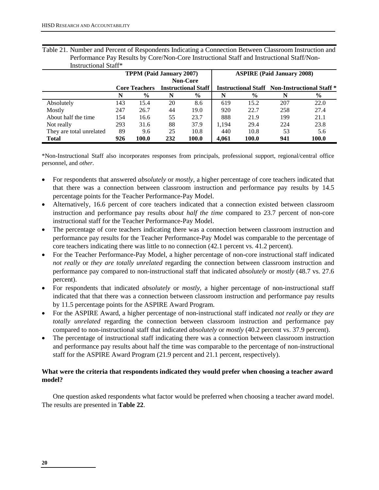| ппластенопат ван         | <b>TPPM</b> (Paid January 2007) |                      |                            |       | <b>ASPIRE (Paid January 2008)</b> |                |                                                                 |       |
|--------------------------|---------------------------------|----------------------|----------------------------|-------|-----------------------------------|----------------|-----------------------------------------------------------------|-------|
|                          | <b>Non-Core</b>                 |                      |                            |       |                                   |                |                                                                 |       |
|                          |                                 | <b>Core Teachers</b> | <b>Instructional Staff</b> |       |                                   |                | <b>Instructional Staff</b> Non-Instructional Staff <sup>*</sup> |       |
|                          | N                               | $\%$                 | N                          | $\%$  | N                                 | $\frac{6}{10}$ | N                                                               | $\%$  |
| Absolutely               | 143                             | 15.4                 | 20                         | 8.6   | 619                               | 15.2           | 207                                                             | 22.0  |
| Mostly                   | 247                             | 26.7                 | 44                         | 19.0  | 920                               | 22.7           | 258                                                             | 27.4  |
| About half the time      | 154                             | 16.6                 | 55                         | 23.7  | 888                               | 21.9           | 199                                                             | 21.1  |
| Not really               | 293                             | 31.6                 | 88                         | 37.9  | 1.194                             | 29.4           | 224                                                             | 23.8  |
| They are total unrelated | 89                              | 9.6                  | 25                         | 10.8  | 440                               | 10.8           | 53                                                              | 5.6   |
| Total                    | 926                             | 100.0                | 232                        | 100.0 | 4.061                             | 100.0          | 941                                                             | 100.0 |

Table 21. Number and Percent of Respondents Indicating a Connection Between Classroom Instruction and Performance Pay Results by Core/Non-Core Instructional Staff and Instructional Staff/Non- Instructional Staff\*

\*Non-Instructional Staff also incorporates responses from principals, professional support, regional/central office personnel, and *other*.

- For respondents that answered *absolutely* or *mostly*, a higher percentage of core teachers indicated that that there was a connection between classroom instruction and performance pay results by 14.5 percentage points for the Teacher Performance-Pay Model.
- Alternatively, 16.6 percent of core teachers indicated that a connection existed between classroom instruction and performance pay results *about half the time* compared to 23.7 percent of non-core instructional staff for the Teacher Performance-Pay Model.
- The percentage of core teachers indicating there was a connection between classroom instruction and performance pay results for the Teacher Performance-Pay Model was comparable to the percentage of core teachers indicating there was little to no connection (42.1 percent vs. 41.2 percent).
- For the Teacher Performance-Pay Model, a higher percentage of non-core instructional staff indicated *not really* or *they are totally unrelated* regarding the connection between classroom instruction and performance pay compared to non-instructional staff that indicated *absolutely* or *mostly* (48.7 vs. 27.6 percent).
- For respondents that indicated *absolutely* or *mostly*, a higher percentage of non-instructional staff indicated that that there was a connection between classroom instruction and performance pay results by 11.5 percentage points for the ASPIRE Award Program.
- For the ASPIRE Award, a higher percentage of non-instructional staff indicated *not really* or *they are totally unrelated* regarding the connection between classroom instruction and performance pay compared to non-instructional staff that indicated *absolutely* or *mostly* (40.2 percent vs. 37.9 percent).
- The percentage of instructional staff indicating there was a connection between classroom instruction and performance pay results about half the time was comparable to the percentage of non-instructional staff for the ASPIRE Award Program (21.9 percent and 21.1 percent, respectively).

#### **What were the criteria that respondents indicated they would prefer when choosing a teacher award model?**

One question asked respondents what factor would be preferred when choosing a teacher award model. The results are presented in **Table 22**.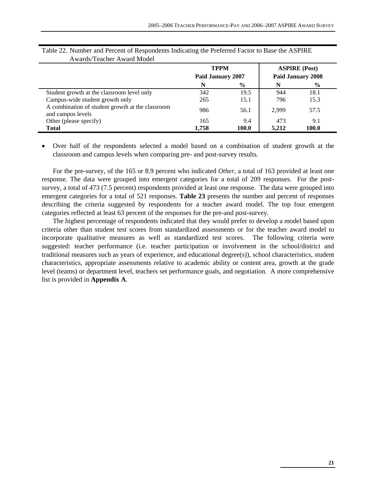|                                                                       | <b>TPPM</b><br>Paid January 2007<br>$\frac{6}{9}$<br>N |       | <b>ASPIRE</b> (Post) |                          |
|-----------------------------------------------------------------------|--------------------------------------------------------|-------|----------------------|--------------------------|
|                                                                       |                                                        |       |                      | <b>Paid January 2008</b> |
|                                                                       |                                                        |       | N                    | $\%$                     |
| Student growth at the classroom level only                            | 342                                                    | 19.5  | 944                  | 18.1                     |
| Campus-wide student growth only                                       | 265                                                    | 15.1  | 796                  | 15.3                     |
| A combination of student growth at the classroom<br>and campus levels | 986                                                    | 56.1  | 2,999                | 57.5                     |
| Other (please specify)                                                | 165                                                    | 9.4   | 473                  | 9.1                      |
| <b>Total</b>                                                          | 1.758                                                  | 100.0 | 5.212                | 100.0                    |

| Table 22. Number and Percent of Respondents Indicating the Preferred Factor to Base the ASPIRE |  |  |  |
|------------------------------------------------------------------------------------------------|--|--|--|
| Awards/Teacher Award Model                                                                     |  |  |  |

• Over half of the respondents selected a model based on a combination of student growth at the classroom and campus levels when comparing pre- and post-survey results.

For the pre-survey, of the 165 or 8.9 percent who indicated *Other*, a total of 163 provided at least one response. The data were grouped into emergent categories for a total of 209 responses. For the postsurvey, a total of 473 (7.5 percent) respondents provided at least one response. The data were grouped into emergent categories for a total of 521 responses. **Table 23** presents the number and percent of responses describing the criteria suggested by respondents for a teacher award model. The top four emergent categories reflected at least 63 percent of the responses for the pre-and post-survey.

The highest percentage of respondents indicated that they would prefer to develop a model based upon criteria other than student test scores from standardized assessments or for the teacher award model to incorporate qualitative measures as well as standardized test scores. The following criteria were suggested: teacher performance (i.e. teacher participation or involvement in the school/district and traditional measures such as years of experience, and educational degree(s)), school characteristics, student characteristics, appropriate assessments relative to academic ability or content area, growth at the grade level (teams) or department level, teachers set performance goals, and negotiation. A more comprehensive list is provided in **Appendix A**.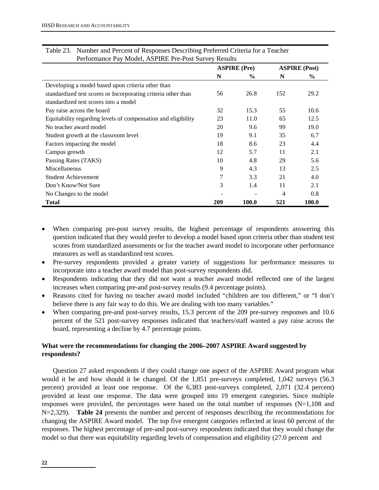| Performance Pay Model, ASPINE PIC-POSt Survey Results         |     |                     |     |                      |  |  |
|---------------------------------------------------------------|-----|---------------------|-----|----------------------|--|--|
|                                                               |     | <b>ASPIRE</b> (Pre) |     | <b>ASPIRE (Post)</b> |  |  |
|                                                               | N   | $\%$                | N   | $\%$                 |  |  |
| Developing a model based upon criteria other than             |     |                     |     |                      |  |  |
| standardized test scores or Incorporating criteria other than | 56  | 26.8                | 152 | 29.2                 |  |  |
| standardized test scores into a model                         |     |                     |     |                      |  |  |
| Pay raise across the board                                    | 32  | 15.3                | 55  | 10.6                 |  |  |
| Equitability regarding levels of compensation and eligibility | 23  | 11.0                | 65  | 12.5                 |  |  |
| No teacher award model                                        | 20  | 9.6                 | 99  | 19.0                 |  |  |
| Student growth at the classroom level                         | 19  | 9.1                 | 35  | 6.7                  |  |  |
| Factors impacting the model                                   | 18  | 8.6                 | 23  | 4.4                  |  |  |
| Campus growth                                                 | 12  | 5.7                 | 11  | 2.1                  |  |  |
| Passing Rates (TAKS)                                          | 10  | 4.8                 | 29  | 5.6                  |  |  |
| Miscellaneous                                                 | 9   | 4.3                 | 13  | 2.5                  |  |  |
| <b>Student Achievement</b>                                    | 7   | 3.3                 | 21  | 4.0                  |  |  |
| Don't Know/Not Sure                                           | 3   | 1.4                 | 11  | 2.1                  |  |  |
| No Changes to the model                                       |     |                     | 4   | 0.8                  |  |  |
| Total                                                         | 209 | 100.0               | 521 | 100.0                |  |  |

| Table 23. Number and Percent of Responses Describing Preferred Criteria for a Teacher |
|---------------------------------------------------------------------------------------|
| Performance Pay Model, ASPIRE Pre-Post Survey Results                                 |

- When comparing pre-post survey results, the highest percentage of respondents answering this question indicated that they would prefer to develop a model based upon criteria other than student test scores from standardized assessments or for the teacher award model to incorporate other performance measures as well as standardized test scores.
- Pre-survey respondents provided a greater variety of suggestions for performance measures to incorporate into a teacher award model than post-survey respondents did.
- Respondents indicating that they did not want a teacher award model reflected one of the largest increases when comparing pre-and post-survey results (9.4 percentage points).
- Reasons cited for having no teacher award model included "children are too different," or "I don't believe there is any fair way to do this. We are dealing with too many variables."
- When comparing pre-and post-survey results, 15.3 percent of the 209 pre-survey responses and 10.6 percent of the 521 post-survey responses indicated that teachers/staff wanted a pay raise across the board, representing a decline by 4.7 percentage points.

## **What were the recommendations for changing the 2006–2007 ASPIRE Award suggested by respondents?**

Question 27 asked respondents if they could change one aspect of the ASPIRE Award program what would it be and how should it be changed. Of the 1,851 pre-surveys completed, 1,042 surveys (56.3 percent) provided at least one response. Of the 6,383 post-surveys completed, 2,071 (32.4 percent) provided at least one response. The data were grouped into 19 emergent categories. Since multiple responses were provided, the percentages were based on the total number of responses (N=1,108 and N=2,329). **Table 24** presents the number and percent of responses describing the recommendations for changing the ASPIRE Award model. The top five emergent categories reflected at least 60 percent of the responses. The highest percentage of pre-and post-survey respondents indicated that they would change the model so that there was equitability regarding levels of compensation and eligibility (27.0 percent and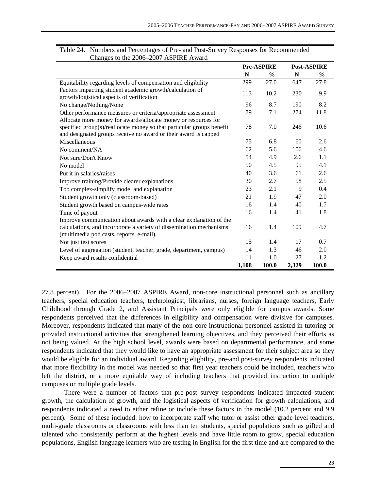|                                                                                                                                          |       | <b>Pre-ASPIRE</b> |       | <b>Post-ASPIRE</b> |
|------------------------------------------------------------------------------------------------------------------------------------------|-------|-------------------|-------|--------------------|
|                                                                                                                                          | N     | $\frac{6}{9}$     | N     | $\frac{6}{9}$      |
| Equitability regarding levels of compensation and eligibility                                                                            | 299   | 27.0              | 647   | 27.8               |
| Factors impacting student academic growth/calculation of<br>growth/logistical aspects of verification                                    | 113   | 10.2              | 230   | 9.9                |
| No change/Nothing/None                                                                                                                   | 96    | 8.7               | 190   | 8.2                |
| Other performance measures or criteria/appropriate assessment<br>Allocate more money for awards/allocate money or resources for          | 79    | 7.1               | 274   | 11.8               |
| specified group(s)/reallocate money so that particular groups benefit<br>and designated groups receive no award or their award is capped | 78    | 7.0               | 246   | 10.6               |
| Miscellaneous                                                                                                                            | 75    | 6.8               | 60    | 2.6                |
| No comment/NA                                                                                                                            | 62    | 5.6               | 106   | 4.6                |
| Not sure/Don't Know                                                                                                                      | 54    | 4.9               | 2.6   | 1.1                |
| No model                                                                                                                                 | 50    | 4.5               | 95    | 4.1                |
| Put it in salaries/raises                                                                                                                | 40    | 3.6               | 61    | 2.6                |
| Improve training/Provide clearer explanations                                                                                            | 30    | 2.7               | 58    | 2.5                |
| Too complex-simplify model and explanation                                                                                               | 23    | 2.1               | 9     | 0.4                |
| Student growth only (classroom-based)                                                                                                    | 21    | 1.9               | 47    | 2.0                |
| Student growth based on campus-wide rates                                                                                                | 16    | 1.4               | 40    | 1.7                |
| Time of payout                                                                                                                           | 16    | 1.4               | 41    | 1.8                |
| Improve communication about awards with a clear explanation of the                                                                       |       |                   |       |                    |
| calculations, and incorporate a variety of dissemination mechanisms<br>(multimedia pod casts, reports, e-mail).                          | 16    | 1.4               | 109   | 4.7                |
| Not just test scores                                                                                                                     | 15    | 1.4               | 17    | 0.7                |
| Level of aggregation (student, teacher, grade, department, campus)                                                                       | 14    | 1.3               | 46    | 2.0                |
| Keep award results confidential                                                                                                          | 11    | 1.0               | 27    | 1.2                |
|                                                                                                                                          | 1,108 | 100.0             | 2,329 | 100.0              |

| Table 24. Numbers and Percentages of Pre- and Post-Survey Responses for Recommended |
|-------------------------------------------------------------------------------------|
| Changes to the 2006–2007 ASPIRE Award                                               |

27.8 percent). For the 2006–2007 ASPIRE Award, non-core instructional personnel such as ancillary teachers, special education teachers, technologiest, librarians, nurses, foreign language teachers, Early Childhood through Grade 2, and Assistant Principals were only eligible for campus awards. Some respondents perceived that the differences in eligibility and compensation were divisive for campuses. Moreover, respondents indicated that many of the non-core instructional personnel assisted in tutoring or provided instructional activities that strengthened learning objectives, and they perceived their efforts as not being valued. At the high school level, awards were based on departmental performance, and some respondents indicated that they would like to have an appropriate assessment for their subject area so they would be eligible for an individual award. Regarding eligbility, pre-and post-survey respondents indicated that more flexibility in the model was needed so that first year teachers could be included, teachers who left the district, or a more equitable way of including teachers that provided instruction to multiple campuses or multiple grade levels.

 There were a number of factors that pre-post survey respondents indicated impacted student growth, the calculation of growth, and the logistical aspects of verification for growth calculations, and respondents indicated a need to either refine or include these factors in the model (10.2 percent and 9.9 percent). Some of these included: how to incorporate staff who tutor or assist other grade level teachers, multi-grade classrooms or classrooms with less than ten students, special populations such as gifted and talented who consistently perform at the highest levels and have little room to grow, special education populations, English language learners who are testing in English for the first time and are compared to the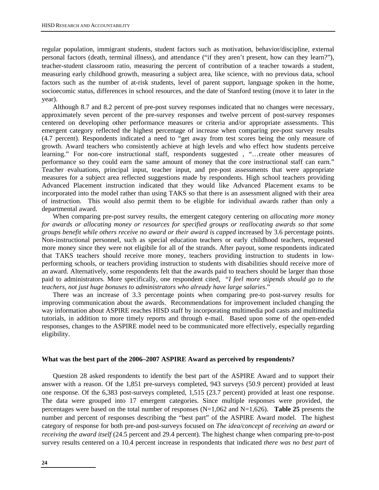regular population, immigrant students, student factors such as motivation, behavior/discipline, external personal factors (death, terminal illness), and attendance ("if they aren't present, how can they learn?"), teacher-student classroom ratio, measuring the percent of contribution of a teacher towards a student, measuring early childhood growth, measuring a subject area, like science, with no previous data, school factors such as the number of at-risk students, level of parent support, language spoken in the home, socioecomic status, differences in school resources, and the date of Stanford testing (move it to later in the year).

Although 8.7 and 8.2 percent of pre-post survey responses indicated that no changes were necessary, approximately seven percent of the pre-survey responses and twelve percent of post-survey responses centered on developing other performance measures or criteria and/or appropriate assessments. This emergent category reflected the highest percentage of increase when comparing pre-post survey results (4.7 percent). Respondents indicated a need to "get away from test scores being the only measure of growth. Award teachers who consistently achieve at high levels and who effect how students perceive learning." For non-core instructional staff, respondents suggested , "…create other measures of performance so they could earn the same amount of money that the core instructional staff can earn." Teacher evaluations, principal input, teacher input, and pre-post assessments that were appropriate measures for a subject area reflected suggestions made by respondents. High school teachers providing Advanced Placement instruction indicated that they would like Advanced Placement exams to be incorporated into the model rather than using TAKS so that there is an assessment aligned with their area of instruction. This would also permit them to be eligible for individual awards rather than only a departmental award.

When comparing pre-post survey results, the emergent category centering on *allocating more money for awards or allocating money or resources for specified groups or reallocating awards so that some groups benefit while others receive no award or their award is capped* increased by 3.6 percentage points. Non-instructional personnel, such as special education teachers or early childhood teachers, requested more money since they were not eligibile for all of the strands. After payout, some respondents indicated that TAKS teachers should receive more money, teachers providing instruction to students in lowperforming schools, or teachers providing instruction to students with disabilities should receive more of an award. Alternatively, some respondents felt that the awards paid to teachers should be larger than those paid to administrators. More specifically, one respondent cited, "*I feel more stipends should go to the teachers, not just huge bonuses to administrators who already have large salaries*."

There was an increase of 3.3 percentage points when comparing pre-to post-survey results for improving communication about the awards. Recommendations for improvement included changing the way information about ASPIRE reaches HISD staff by incorporating multimedia pod casts and multimedia tutorials, in addition to more timely reports and through e-mail. Based upon some of the open-ended responses, changes to the ASPIRE model need to be communicated more effectively, especially regarding eligibility.

#### **What was the best part of the 2006–2007 ASPIRE Award as perceived by respondents?**

Question 28 asked respondents to identify the best part of the ASPIRE Award and to support their answer with a reason. Of the 1,851 pre-surveys completed, 943 surveys (50.9 percent) provided at least one response. Of the 6,383 post-surveys completed, 1,515 (23.7 percent) provided at least one response. The data were grouped into 17 emergent categories. Since multiple responses were provided, the percentages were based on the total number of responses  $(N=1,062$  and  $N=1,626)$ . **Table 25** presents the number and percent of responses describing the "best part" of the ASPIRE Award model. The highest category of response for both pre-and post-surveys focused on *The idea/concept of receiving an award or receiving the award itself* (24.5 percent and 29.4 percent). The highest change when comparing pre-to-post survey results centered on a 10.4 percent increase in respondents that indicated *there was no best part* of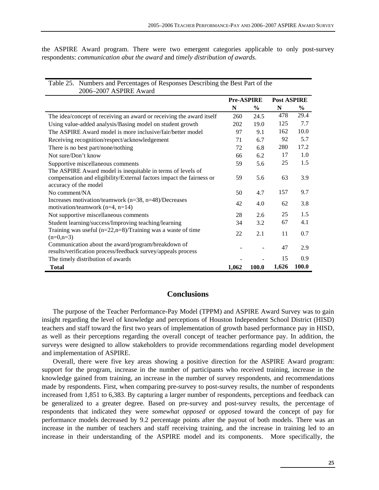the ASPIRE Award program. There were two emergent categories applicable to only post-survey respondents: *communication abut the award* and *timely distribution of awards*.

| 2006-2007 ASPIRE Award                                               |                   |       |                    |               |
|----------------------------------------------------------------------|-------------------|-------|--------------------|---------------|
|                                                                      | <b>Pre-ASPIRE</b> |       | <b>Post ASPIRE</b> |               |
|                                                                      | N                 | $\%$  | N                  | $\frac{0}{0}$ |
| The idea/concept of receiving an award or receiving the award itself | 260               | 24.5  | 478                | 29.4          |
| Using value-added analysis/Basing model on student growth            | 202               | 19.0  | 125                | 7.7           |
| The ASPIRE Award model is more inclusive/fair/better model           | 97                | 9.1   | 162                | 10.0          |
| Receiving recognition/respect/acknowledgement                        | 71                | 6.7   | 92                 | 5.7           |
| There is no best part/none/nothing                                   | 72                | 6.8   | 280                | 17.2          |
| Not sure/Don't know                                                  | 66                | 6.2   | 17                 | 1.0           |
| Supportive miscellaneous comments                                    | 59                | 5.6   | 25                 | 1.5           |
| The ASPIRE Award model is inequitable in terms of levels of          |                   |       |                    |               |
| compensation and eligibility/External factors impact the fairness or | 59                | 5.6   | 63                 | 3.9           |
| accuracy of the model                                                |                   |       |                    |               |
| No comment/NA                                                        | 50                | 4.7   | 157                | 9.7           |
| Increases motivation/teamwork (n=38, n=48)/Decreases                 | 42                | 4.0   | 62                 | 3.8           |
| motivation/teamwork $(n=4, n=14)$                                    |                   |       |                    |               |
| Not supportive miscellaneous comments                                | 28                | 2.6   | 25                 | 1.5           |
| Student learning/success/Improving teaching/learning                 | 34                | 3.2   | 67                 | 4.1           |
| Training was useful $(n=22, n=8)/T$ raining was a waste of time      | 22                | 2.1   | 11                 | 0.7           |
| $(n=0,n=3)$                                                          |                   |       |                    |               |
| Communication about the award/program/breakdown of                   |                   |       | 47                 | 2.9           |
| results/verification process/feedback survey/appeals process         |                   |       |                    |               |
| The timely distribution of awards                                    |                   |       | 15                 | 0.9           |
| <b>Total</b>                                                         | 1,062             | 100.0 | 1,626              | 100.0         |

Table 25. Numbers and Percentages of Responses Describing the Best Part of the

## **Conclusions**

The purpose of the Teacher Performance-Pay Model (TPPM) and ASPIRE Award Survey was to gain insight regarding the level of knowledge and perceptions of Houston Independent School District (HISD) teachers and staff toward the first two years of implementation of growth based performance pay in HISD, as well as their perceptions regarding the overall concept of teacher performance pay. In addition, the surveys were designed to allow stakeholders to provide recommendations regarding model development and implementation of ASPIRE.

Overall, there were five key areas showing a positive direction for the ASPIRE Award program: support for the program, increase in the number of participants who received training, increase in the knowledge gained from training, an increase in the number of survey respondents, and recommendations made by respondents. First, when comparing pre-survey to post-survey results, the number of respondents increased from 1,851 to 6,383. By capturing a larger number of respondents, perceptions and feedback can be generalized to a greater degree. Based on pre-survey and post-survey results, the percentage of respondents that indicated they were *somewhat opposed* or *opposed* toward the concept of pay for performance models decreased by 9.2 percentage points after the payout of both models. There was an increase in the number of teachers and staff receiving training, and the increase in training led to an increase in their understanding of the ASPIRE model and its components. More specifically, the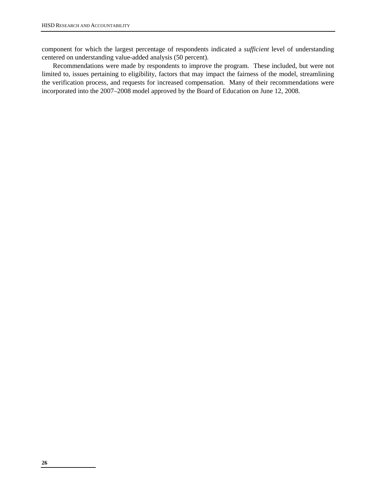component for which the largest percentage of respondents indicated a *sufficient* level of understanding centered on understanding value-added analysis (50 percent).

Recommendations were made by respondents to improve the program. These included, but were not limited to, issues pertaining to eligibility, factors that may impact the fairness of the model, streamlining the verification process, and requests for increased compensation. Many of their recommendations were incorporated into the 2007–2008 model approved by the Board of Education on June 12, 2008.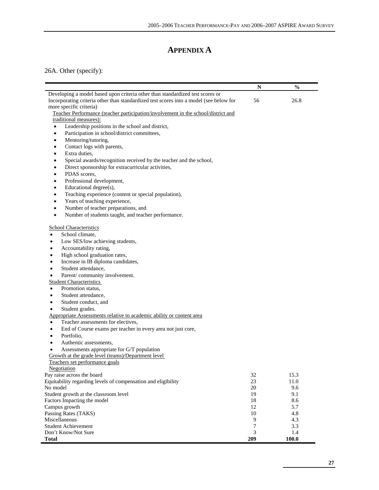# **APPENDIX A**

## 26A. Other (specify):

|                                                                                        | N   | $\frac{6}{6}$ |
|----------------------------------------------------------------------------------------|-----|---------------|
| Developing a model based upon criteria other than standardized test scores or          |     |               |
| Incorporating criteria other than standardized test scores into a model (see below for | 56  | 26.8          |
| more specific criteria)                                                                |     |               |
| Teacher Performance (teacher participation/involvement in the school/district and      |     |               |
| traditional measures):                                                                 |     |               |
| Leadership positions in the school and district,<br>$\bullet$                          |     |               |
| Participation in school/district committees,<br>$\bullet$                              |     |               |
| Mentoring/tutoring,<br>$\bullet$                                                       |     |               |
| Contact logs with parents,<br>$\bullet$                                                |     |               |
| Extra duties,<br>$\bullet$                                                             |     |               |
| Special awards/recognition received by the teacher and the school,<br>$\bullet$        |     |               |
| Direct sponsorship for extracurricular activities,<br>$\bullet$                        |     |               |
| PDAS scores,<br>$\bullet$                                                              |     |               |
| Professional development,<br>$\bullet$                                                 |     |               |
| Educational degree(s),<br>$\bullet$                                                    |     |               |
| Teaching experience (content or special population),<br>$\bullet$                      |     |               |
| Years of teaching experience,<br>$\bullet$                                             |     |               |
| Number of teacher preparations, and<br>$\bullet$                                       |     |               |
| Number of students taught, and teacher performance.<br>$\bullet$                       |     |               |
| <b>School Characteristics</b>                                                          |     |               |
| School climate,<br>$\bullet$                                                           |     |               |
| Low SES/low achieving students,                                                        |     |               |
| Accountability rating,<br>٠                                                            |     |               |
| High school graduation rates,<br>٠                                                     |     |               |
| Increase in IB diploma candidates,                                                     |     |               |
| Student attendance,<br>$\bullet$                                                       |     |               |
| Parent/community involvement.<br>$\bullet$                                             |     |               |
| <b>Student Characteristics</b>                                                         |     |               |
| Promotion status,<br>٠                                                                 |     |               |
| Student attendance,<br>$\bullet$                                                       |     |               |
| Student conduct, and<br>$\bullet$                                                      |     |               |
| Student grades.<br>$\bullet$                                                           |     |               |
| Appropriate Assessments relative to academic ability or content area                   |     |               |
| Teacher assessments for electives,<br>$\bullet$                                        |     |               |
| End of Course exams per teacher in every area not just core,<br>٠                      |     |               |
| Portfolio,<br>٠                                                                        |     |               |
| Authentic assessments,<br>٠                                                            |     |               |
| Assessments appropriate for G/T population<br>٠                                        |     |               |
| Growth at the grade level (teams)/Department level                                     |     |               |
| Teachers set performance goals                                                         |     |               |
| Negotiation                                                                            |     |               |
| Pay raise across the board                                                             | 32  | 15.3          |
| Equitability regarding levels of compensation and eligibility                          | 23  | 11.0          |
| No model                                                                               | 20  | 9.6           |
| Student growth at the classroom level                                                  | 19  | 9.1           |
| Factors Impacting the model                                                            | 18  | 8.6           |
| Campus growth                                                                          | 12  | 5.7           |
| Passing Rates (TAKS)                                                                   | 10  | 4.8           |
| Miscellaneous                                                                          | 9   | 4.3           |
| <b>Student Achievement</b>                                                             | 7   | 3.3           |
| Don't Know/Not Sure                                                                    | 3   | 1.4           |
| <b>Total</b>                                                                           | 209 | 100.0         |